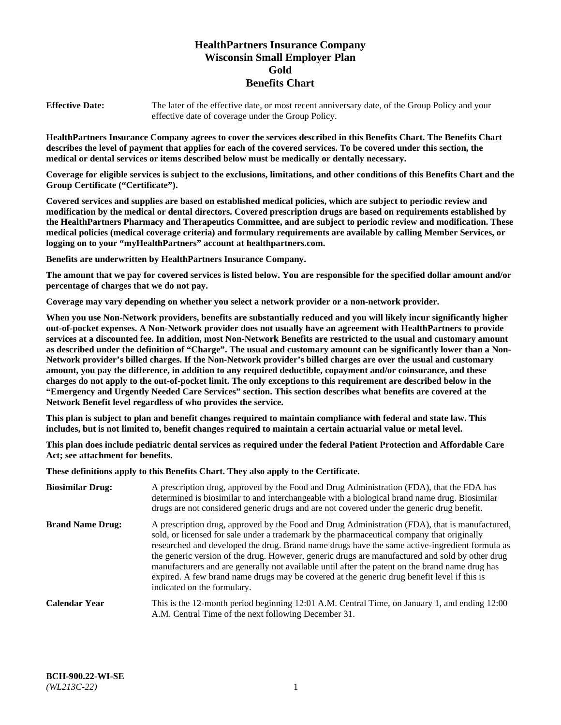# **HealthPartners Insurance Company Wisconsin Small Employer Plan Gold Benefits Chart**

**Effective Date:** The later of the effective date, or most recent anniversary date, of the Group Policy and your effective date of coverage under the Group Policy.

**HealthPartners Insurance Company agrees to cover the services described in this Benefits Chart. The Benefits Chart describes the level of payment that applies for each of the covered services. To be covered under this section, the medical or dental services or items described below must be medically or dentally necessary.**

**Coverage for eligible services is subject to the exclusions, limitations, and other conditions of this Benefits Chart and the Group Certificate ("Certificate").**

**Covered services and supplies are based on established medical policies, which are subject to periodic review and modification by the medical or dental directors. Covered prescription drugs are based on requirements established by the HealthPartners Pharmacy and Therapeutics Committee, and are subject to periodic review and modification. These medical policies (medical coverage criteria) and formulary requirements are available by calling Member Services, or logging on to your "myHealthPartners" account at [healthpartners.com.](https://www.healthpartners.com/hp/index.html)** 

**Benefits are underwritten by HealthPartners Insurance Company.**

**The amount that we pay for covered services is listed below. You are responsible for the specified dollar amount and/or percentage of charges that we do not pay.**

**Coverage may vary depending on whether you select a network provider or a non-network provider.**

**When you use Non-Network providers, benefits are substantially reduced and you will likely incur significantly higher out-of-pocket expenses. A Non-Network provider does not usually have an agreement with HealthPartners to provide services at a discounted fee. In addition, most Non-Network Benefits are restricted to the usual and customary amount as described under the definition of "Charge". The usual and customary amount can be significantly lower than a Non-Network provider's billed charges. If the Non-Network provider's billed charges are over the usual and customary amount, you pay the difference, in addition to any required deductible, copayment and/or coinsurance, and these charges do not apply to the out-of-pocket limit. The only exceptions to this requirement are described below in the "Emergency and Urgently Needed Care Services" section. This section describes what benefits are covered at the Network Benefit level regardless of who provides the service.**

**This plan is subject to plan and benefit changes required to maintain compliance with federal and state law. This includes, but is not limited to, benefit changes required to maintain a certain actuarial value or metal level.**

**This plan does include pediatric dental services as required under the federal Patient Protection and Affordable Care Act; see attachment for benefits.**

**These definitions apply to this Benefits Chart. They also apply to the Certificate.**

| <b>Biosimilar Drug:</b> | A prescription drug, approved by the Food and Drug Administration (FDA), that the FDA has<br>determined is biosimilar to and interchangeable with a biological brand name drug. Biosimilar<br>drugs are not considered generic drugs and are not covered under the generic drug benefit.                                                                                                                                                                                                                                                                                                                                           |
|-------------------------|------------------------------------------------------------------------------------------------------------------------------------------------------------------------------------------------------------------------------------------------------------------------------------------------------------------------------------------------------------------------------------------------------------------------------------------------------------------------------------------------------------------------------------------------------------------------------------------------------------------------------------|
| <b>Brand Name Drug:</b> | A prescription drug, approved by the Food and Drug Administration (FDA), that is manufactured,<br>sold, or licensed for sale under a trademark by the pharmaceutical company that originally<br>researched and developed the drug. Brand name drugs have the same active-ingredient formula as<br>the generic version of the drug. However, generic drugs are manufactured and sold by other drug<br>manufacturers and are generally not available until after the patent on the brand name drug has<br>expired. A few brand name drugs may be covered at the generic drug benefit level if this is<br>indicated on the formulary. |
| <b>Calendar Year</b>    | This is the 12-month period beginning 12:01 A.M. Central Time, on January 1, and ending 12:00<br>A.M. Central Time of the next following December 31.                                                                                                                                                                                                                                                                                                                                                                                                                                                                              |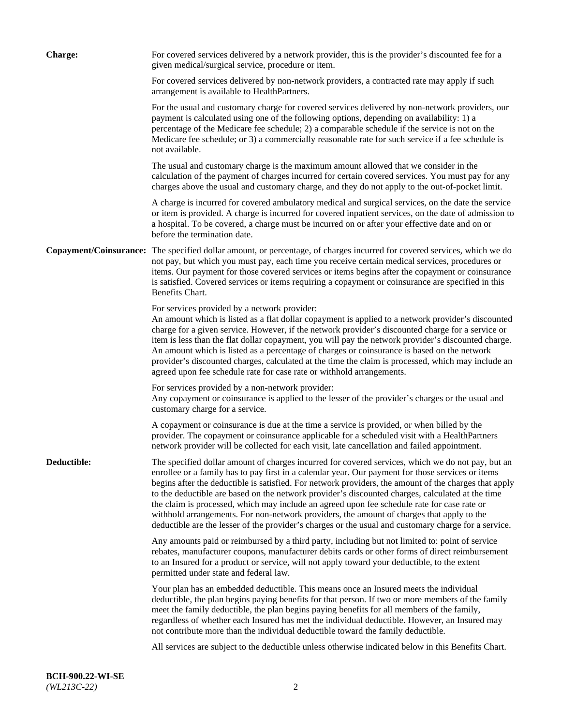| <b>Charge:</b> | For covered services delivered by a network provider, this is the provider's discounted fee for a<br>given medical/surgical service, procedure or item.                                                                                                                                                                                                                                                                                                                                                                                                                                                                                                                                                                 |
|----------------|-------------------------------------------------------------------------------------------------------------------------------------------------------------------------------------------------------------------------------------------------------------------------------------------------------------------------------------------------------------------------------------------------------------------------------------------------------------------------------------------------------------------------------------------------------------------------------------------------------------------------------------------------------------------------------------------------------------------------|
|                | For covered services delivered by non-network providers, a contracted rate may apply if such<br>arrangement is available to HealthPartners.                                                                                                                                                                                                                                                                                                                                                                                                                                                                                                                                                                             |
|                | For the usual and customary charge for covered services delivered by non-network providers, our<br>payment is calculated using one of the following options, depending on availability: 1) a<br>percentage of the Medicare fee schedule; 2) a comparable schedule if the service is not on the<br>Medicare fee schedule; or 3) a commercially reasonable rate for such service if a fee schedule is<br>not available.                                                                                                                                                                                                                                                                                                   |
|                | The usual and customary charge is the maximum amount allowed that we consider in the<br>calculation of the payment of charges incurred for certain covered services. You must pay for any<br>charges above the usual and customary charge, and they do not apply to the out-of-pocket limit.                                                                                                                                                                                                                                                                                                                                                                                                                            |
|                | A charge is incurred for covered ambulatory medical and surgical services, on the date the service<br>or item is provided. A charge is incurred for covered inpatient services, on the date of admission to<br>a hospital. To be covered, a charge must be incurred on or after your effective date and on or<br>before the termination date.                                                                                                                                                                                                                                                                                                                                                                           |
|                | Copayment/Coinsurance: The specified dollar amount, or percentage, of charges incurred for covered services, which we do<br>not pay, but which you must pay, each time you receive certain medical services, procedures or<br>items. Our payment for those covered services or items begins after the copayment or coinsurance<br>is satisfied. Covered services or items requiring a copayment or coinsurance are specified in this<br>Benefits Chart.                                                                                                                                                                                                                                                                 |
|                | For services provided by a network provider:<br>An amount which is listed as a flat dollar copayment is applied to a network provider's discounted<br>charge for a given service. However, if the network provider's discounted charge for a service or<br>item is less than the flat dollar copayment, you will pay the network provider's discounted charge.<br>An amount which is listed as a percentage of charges or coinsurance is based on the network<br>provider's discounted charges, calculated at the time the claim is processed, which may include an<br>agreed upon fee schedule rate for case rate or withhold arrangements.                                                                            |
|                | For services provided by a non-network provider:<br>Any copayment or coinsurance is applied to the lesser of the provider's charges or the usual and<br>customary charge for a service.                                                                                                                                                                                                                                                                                                                                                                                                                                                                                                                                 |
|                | A copayment or coinsurance is due at the time a service is provided, or when billed by the<br>provider. The copayment or coinsurance applicable for a scheduled visit with a HealthPartners<br>network provider will be collected for each visit, late cancellation and failed appointment.                                                                                                                                                                                                                                                                                                                                                                                                                             |
| Deductible:    | The specified dollar amount of charges incurred for covered services, which we do not pay, but an<br>enrollee or a family has to pay first in a calendar year. Our payment for those services or items<br>begins after the deductible is satisfied. For network providers, the amount of the charges that apply<br>to the deductible are based on the network provider's discounted charges, calculated at the time<br>the claim is processed, which may include an agreed upon fee schedule rate for case rate or<br>withhold arrangements. For non-network providers, the amount of charges that apply to the<br>deductible are the lesser of the provider's charges or the usual and customary charge for a service. |
|                | Any amounts paid or reimbursed by a third party, including but not limited to: point of service<br>rebates, manufacturer coupons, manufacturer debits cards or other forms of direct reimbursement<br>to an Insured for a product or service, will not apply toward your deductible, to the extent<br>permitted under state and federal law.                                                                                                                                                                                                                                                                                                                                                                            |
|                | Your plan has an embedded deductible. This means once an Insured meets the individual<br>deductible, the plan begins paying benefits for that person. If two or more members of the family<br>meet the family deductible, the plan begins paying benefits for all members of the family,<br>regardless of whether each Insured has met the individual deductible. However, an Insured may<br>not contribute more than the individual deductible toward the family deductible.                                                                                                                                                                                                                                           |
|                | All services are subject to the deductible unless otherwise indicated below in this Benefits Chart.                                                                                                                                                                                                                                                                                                                                                                                                                                                                                                                                                                                                                     |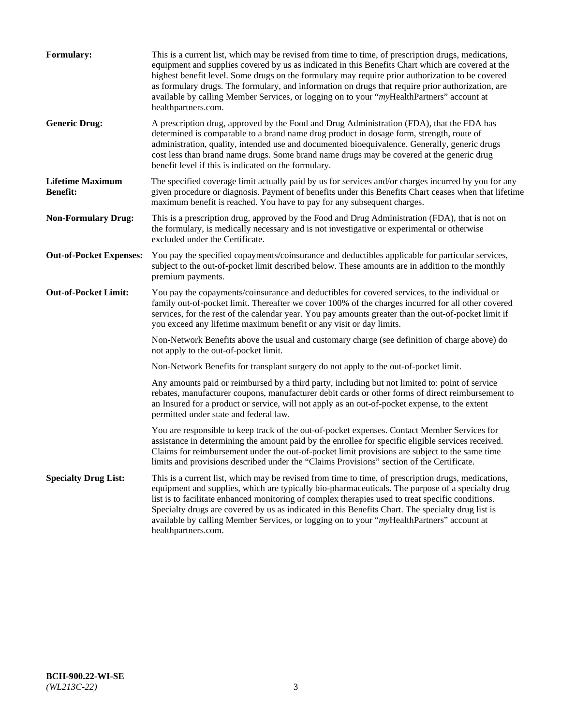| <b>Formulary:</b>                          | This is a current list, which may be revised from time to time, of prescription drugs, medications,<br>equipment and supplies covered by us as indicated in this Benefits Chart which are covered at the<br>highest benefit level. Some drugs on the formulary may require prior authorization to be covered<br>as formulary drugs. The formulary, and information on drugs that require prior authorization, are<br>available by calling Member Services, or logging on to your "myHealthPartners" account at<br>healthpartners.com. |
|--------------------------------------------|---------------------------------------------------------------------------------------------------------------------------------------------------------------------------------------------------------------------------------------------------------------------------------------------------------------------------------------------------------------------------------------------------------------------------------------------------------------------------------------------------------------------------------------|
| <b>Generic Drug:</b>                       | A prescription drug, approved by the Food and Drug Administration (FDA), that the FDA has<br>determined is comparable to a brand name drug product in dosage form, strength, route of<br>administration, quality, intended use and documented bioequivalence. Generally, generic drugs<br>cost less than brand name drugs. Some brand name drugs may be covered at the generic drug<br>benefit level if this is indicated on the formulary.                                                                                           |
| <b>Lifetime Maximum</b><br><b>Benefit:</b> | The specified coverage limit actually paid by us for services and/or charges incurred by you for any<br>given procedure or diagnosis. Payment of benefits under this Benefits Chart ceases when that lifetime<br>maximum benefit is reached. You have to pay for any subsequent charges.                                                                                                                                                                                                                                              |
| <b>Non-Formulary Drug:</b>                 | This is a prescription drug, approved by the Food and Drug Administration (FDA), that is not on<br>the formulary, is medically necessary and is not investigative or experimental or otherwise<br>excluded under the Certificate.                                                                                                                                                                                                                                                                                                     |
| <b>Out-of-Pocket Expenses:</b>             | You pay the specified copayments/coinsurance and deductibles applicable for particular services,<br>subject to the out-of-pocket limit described below. These amounts are in addition to the monthly<br>premium payments.                                                                                                                                                                                                                                                                                                             |
| <b>Out-of-Pocket Limit:</b>                | You pay the copayments/coinsurance and deductibles for covered services, to the individual or<br>family out-of-pocket limit. Thereafter we cover 100% of the charges incurred for all other covered<br>services, for the rest of the calendar year. You pay amounts greater than the out-of-pocket limit if<br>you exceed any lifetime maximum benefit or any visit or day limits.                                                                                                                                                    |
|                                            | Non-Network Benefits above the usual and customary charge (see definition of charge above) do<br>not apply to the out-of-pocket limit.                                                                                                                                                                                                                                                                                                                                                                                                |
|                                            | Non-Network Benefits for transplant surgery do not apply to the out-of-pocket limit.                                                                                                                                                                                                                                                                                                                                                                                                                                                  |
|                                            | Any amounts paid or reimbursed by a third party, including but not limited to: point of service<br>rebates, manufacturer coupons, manufacturer debit cards or other forms of direct reimbursement to<br>an Insured for a product or service, will not apply as an out-of-pocket expense, to the extent<br>permitted under state and federal law.                                                                                                                                                                                      |
|                                            | You are responsible to keep track of the out-of-pocket expenses. Contact Member Services for<br>assistance in determining the amount paid by the enrollee for specific eligible services received.<br>Claims for reimbursement under the out-of-pocket limit provisions are subject to the same time<br>limits and provisions described under the "Claims Provisions" section of the Certificate.                                                                                                                                     |
| <b>Specialty Drug List:</b>                | This is a current list, which may be revised from time to time, of prescription drugs, medications,<br>equipment and supplies, which are typically bio-pharmaceuticals. The purpose of a specialty drug<br>list is to facilitate enhanced monitoring of complex therapies used to treat specific conditions.<br>Specialty drugs are covered by us as indicated in this Benefits Chart. The specialty drug list is<br>available by calling Member Services, or logging on to your "myHealthPartners" account at<br>healthpartners.com. |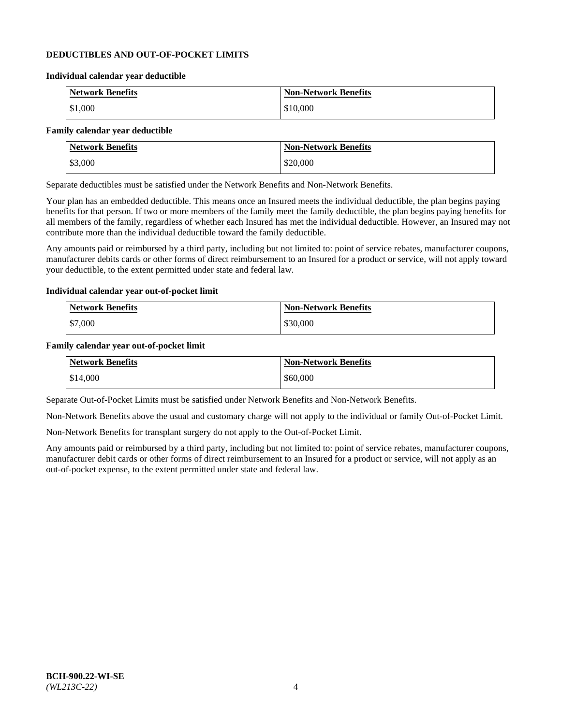#### **DEDUCTIBLES AND OUT-OF-POCKET LIMITS**

#### **Individual calendar year deductible**

| <b>Network Benefits</b> | <b>Non-Network Benefits</b> |
|-------------------------|-----------------------------|
| \$1,000                 | \$10,000                    |

#### **Family calendar year deductible**

| <b>Network Benefits</b> | <b>Non-Network Benefits</b> |
|-------------------------|-----------------------------|
| \$3,000                 | \$20,000                    |

Separate deductibles must be satisfied under the Network Benefits and Non-Network Benefits.

Your plan has an embedded deductible. This means once an Insured meets the individual deductible, the plan begins paying benefits for that person. If two or more members of the family meet the family deductible, the plan begins paying benefits for all members of the family, regardless of whether each Insured has met the individual deductible. However, an Insured may not contribute more than the individual deductible toward the family deductible.

Any amounts paid or reimbursed by a third party, including but not limited to: point of service rebates, manufacturer coupons, manufacturer debits cards or other forms of direct reimbursement to an Insured for a product or service, will not apply toward your deductible, to the extent permitted under state and federal law.

#### **Individual calendar year out-of-pocket limit**

| Network Benefits | <b>Non-Network Benefits</b> |
|------------------|-----------------------------|
| \$7,000          | \$30,000                    |

#### **Family calendar year out-of-pocket limit**

| <b>Network Benefits</b> | <b>Non-Network Benefits</b> |
|-------------------------|-----------------------------|
| \$14,000                | \$60,000                    |

Separate Out-of-Pocket Limits must be satisfied under Network Benefits and Non-Network Benefits.

Non-Network Benefits above the usual and customary charge will not apply to the individual or family Out-of-Pocket Limit.

Non-Network Benefits for transplant surgery do not apply to the Out-of-Pocket Limit.

Any amounts paid or reimbursed by a third party, including but not limited to: point of service rebates, manufacturer coupons, manufacturer debit cards or other forms of direct reimbursement to an Insured for a product or service, will not apply as an out-of-pocket expense, to the extent permitted under state and federal law.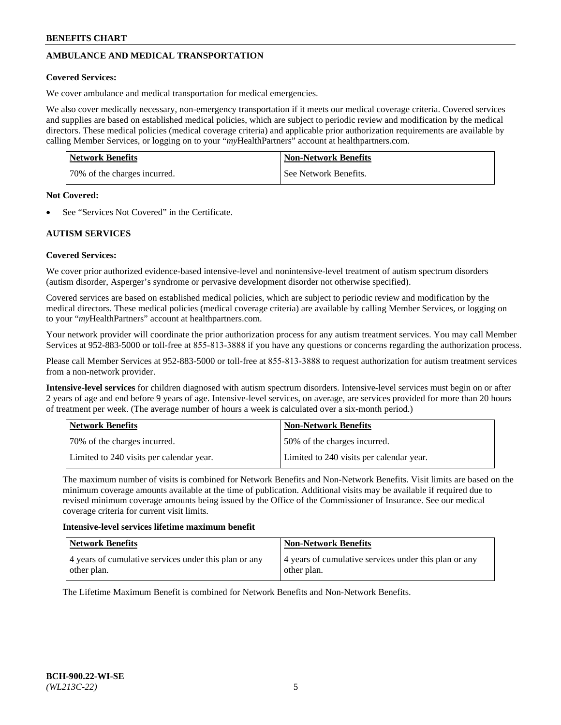# **AMBULANCE AND MEDICAL TRANSPORTATION**

#### **Covered Services:**

We cover ambulance and medical transportation for medical emergencies.

We also cover medically necessary, non-emergency transportation if it meets our medical coverage criteria. Covered services and supplies are based on established medical policies, which are subject to periodic review and modification by the medical directors. These medical policies (medical coverage criteria) and applicable prior authorization requirements are available by calling Member Services, or logging on to your "*my*HealthPartners" account a[t healthpartners.com.](https://www.healthpartners.com/hp/index.html)

| <b>Network Benefits</b>      | <b>Non-Network Benefits</b> |
|------------------------------|-----------------------------|
| 70% of the charges incurred. | See Network Benefits.       |

#### **Not Covered:**

See "Services Not Covered" in the Certificate.

# **AUTISM SERVICES**

## **Covered Services:**

We cover prior authorized evidence-based intensive-level and nonintensive-level treatment of autism spectrum disorders (autism disorder, Asperger's syndrome or pervasive development disorder not otherwise specified).

Covered services are based on established medical policies, which are subject to periodic review and modification by the medical directors. These medical policies (medical coverage criteria) are available by calling Member Services, or logging on to your "*my*HealthPartners" account at [healthpartners.com.](https://www.healthpartners.com/hp/index.html)

Your network provider will coordinate the prior authorization process for any autism treatment services. You may call Member Services at 952-883-5000 or toll-free at 855-813-3888 if you have any questions or concerns regarding the authorization process.

Please call Member Services at 952-883-5000 or toll-free at 855-813-3888 to request authorization for autism treatment services from a non-network provider.

**Intensive-level services** for children diagnosed with autism spectrum disorders. Intensive-level services must begin on or after 2 years of age and end before 9 years of age. Intensive-level services, on average, are services provided for more than 20 hours of treatment per week. (The average number of hours a week is calculated over a six-month period.)

| Network Benefits                         | <b>Non-Network Benefits</b>              |
|------------------------------------------|------------------------------------------|
| 70% of the charges incurred.             | 50% of the charges incurred.             |
| Limited to 240 visits per calendar year. | Limited to 240 visits per calendar year. |

The maximum number of visits is combined for Network Benefits and Non-Network Benefits. Visit limits are based on the minimum coverage amounts available at the time of publication. Additional visits may be available if required due to revised minimum coverage amounts being issued by the Office of the Commissioner of Insurance. See our medical coverage criteria for current visit limits.

#### **Intensive-level services lifetime maximum benefit**

| Network Benefits                                                     | <b>Non-Network Benefits</b>                                          |
|----------------------------------------------------------------------|----------------------------------------------------------------------|
| 4 years of cumulative services under this plan or any<br>other plan. | 4 years of cumulative services under this plan or any<br>other plan. |

The Lifetime Maximum Benefit is combined for Network Benefits and Non-Network Benefits.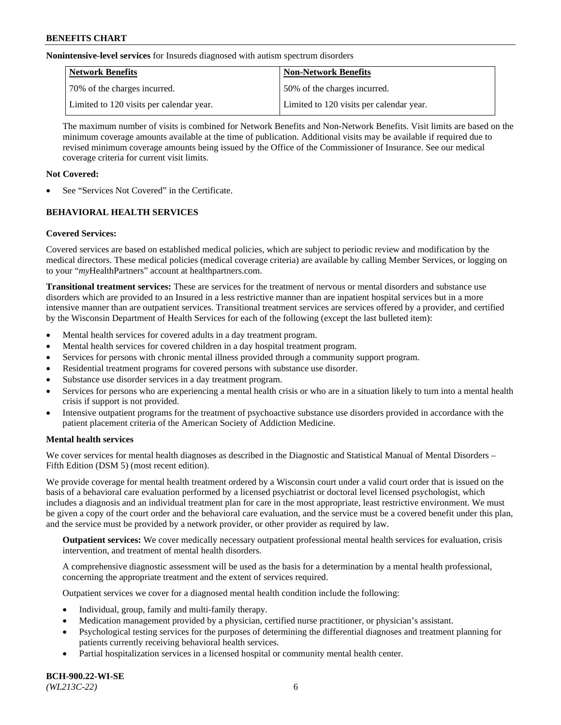**Nonintensive-level services** for Insureds diagnosed with autism spectrum disorders

| Network Benefits                         | <b>Non-Network Benefits</b>              |
|------------------------------------------|------------------------------------------|
| 70% of the charges incurred.             | 50% of the charges incurred.             |
| Limited to 120 visits per calendar year. | Limited to 120 visits per calendar year. |

The maximum number of visits is combined for Network Benefits and Non-Network Benefits. Visit limits are based on the minimum coverage amounts available at the time of publication. Additional visits may be available if required due to revised minimum coverage amounts being issued by the Office of the Commissioner of Insurance. See our medical coverage criteria for current visit limits.

## **Not Covered:**

See "Services Not Covered" in the Certificate.

# **BEHAVIORAL HEALTH SERVICES**

## **Covered Services:**

Covered services are based on established medical policies, which are subject to periodic review and modification by the medical directors. These medical policies (medical coverage criteria) are available by calling Member Services, or logging on to your "*my*HealthPartners" account at [healthpartners.com.](https://www.healthpartners.com/hp/index.html)

**Transitional treatment services:** These are services for the treatment of nervous or mental disorders and substance use disorders which are provided to an Insured in a less restrictive manner than are inpatient hospital services but in a more intensive manner than are outpatient services. Transitional treatment services are services offered by a provider, and certified by the Wisconsin Department of Health Services for each of the following (except the last bulleted item):

- Mental health services for covered adults in a day treatment program.
- Mental health services for covered children in a day hospital treatment program.
- Services for persons with chronic mental illness provided through a community support program.
- Residential treatment programs for covered persons with substance use disorder.
- Substance use disorder services in a day treatment program.
- Services for persons who are experiencing a mental health crisis or who are in a situation likely to turn into a mental health crisis if support is not provided.
- Intensive outpatient programs for the treatment of psychoactive substance use disorders provided in accordance with the patient placement criteria of the American Society of Addiction Medicine.

## **Mental health services**

We cover services for mental health diagnoses as described in the Diagnostic and Statistical Manual of Mental Disorders – Fifth Edition (DSM 5) (most recent edition).

We provide coverage for mental health treatment ordered by a Wisconsin court under a valid court order that is issued on the basis of a behavioral care evaluation performed by a licensed psychiatrist or doctoral level licensed psychologist, which includes a diagnosis and an individual treatment plan for care in the most appropriate, least restrictive environment. We must be given a copy of the court order and the behavioral care evaluation, and the service must be a covered benefit under this plan, and the service must be provided by a network provider, or other provider as required by law.

**Outpatient services:** We cover medically necessary outpatient professional mental health services for evaluation, crisis intervention, and treatment of mental health disorders.

A comprehensive diagnostic assessment will be used as the basis for a determination by a mental health professional, concerning the appropriate treatment and the extent of services required.

Outpatient services we cover for a diagnosed mental health condition include the following:

- Individual, group, family and multi-family therapy.
- Medication management provided by a physician, certified nurse practitioner, or physician's assistant.
- Psychological testing services for the purposes of determining the differential diagnoses and treatment planning for patients currently receiving behavioral health services.
- Partial hospitalization services in a licensed hospital or community mental health center.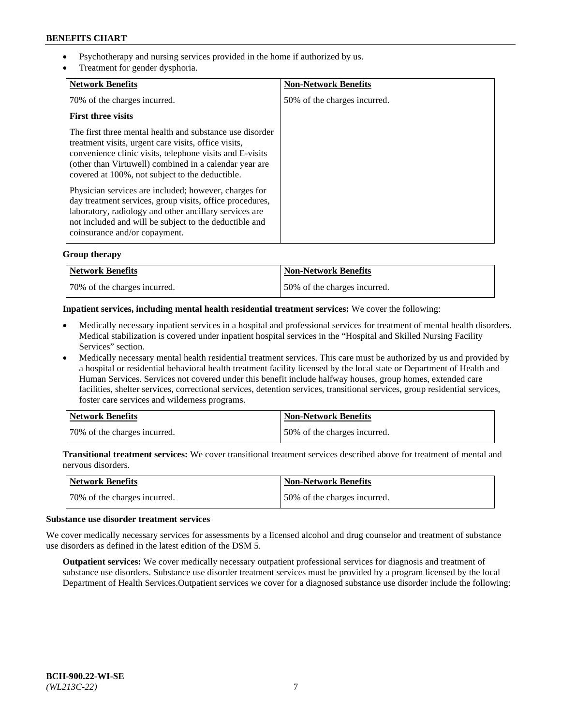- Psychotherapy and nursing services provided in the home if authorized by us.
- Treatment for gender dysphoria.

| <b>Network Benefits</b>                                                                                                                                                                                                                                                                   | <b>Non-Network Benefits</b>  |
|-------------------------------------------------------------------------------------------------------------------------------------------------------------------------------------------------------------------------------------------------------------------------------------------|------------------------------|
| 70% of the charges incurred.                                                                                                                                                                                                                                                              | 50% of the charges incurred. |
| <b>First three visits</b>                                                                                                                                                                                                                                                                 |                              |
| The first three mental health and substance use disorder<br>treatment visits, urgent care visits, office visits,<br>convenience clinic visits, telephone visits and E-visits<br>(other than Virtuwell) combined in a calendar year are<br>covered at 100%, not subject to the deductible. |                              |
| Physician services are included; however, charges for<br>day treatment services, group visits, office procedures,<br>laboratory, radiology and other ancillary services are<br>not included and will be subject to the deductible and<br>coinsurance and/or copayment.                    |                              |

## **Group therapy**

| Network Benefits             | <b>Non-Network Benefits</b>  |
|------------------------------|------------------------------|
| 70% of the charges incurred. | 50% of the charges incurred. |

#### **Inpatient services, including mental health residential treatment services:** We cover the following:

- Medically necessary inpatient services in a hospital and professional services for treatment of mental health disorders. Medical stabilization is covered under inpatient hospital services in the "Hospital and Skilled Nursing Facility Services" section.
- Medically necessary mental health residential treatment services. This care must be authorized by us and provided by a hospital or residential behavioral health treatment facility licensed by the local state or Department of Health and Human Services. Services not covered under this benefit include halfway houses, group homes, extended care facilities, shelter services, correctional services, detention services, transitional services, group residential services, foster care services and wilderness programs.

| Network Benefits             | <b>Non-Network Benefits</b>  |
|------------------------------|------------------------------|
| 70% of the charges incurred. | 50% of the charges incurred. |

**Transitional treatment services:** We cover transitional treatment services described above for treatment of mental and nervous disorders.

| Network Benefits             | <b>Non-Network Benefits</b>  |
|------------------------------|------------------------------|
| 70% of the charges incurred. | 50% of the charges incurred. |

#### **Substance use disorder treatment services**

We cover medically necessary services for assessments by a licensed alcohol and drug counselor and treatment of substance use disorders as defined in the latest edition of the DSM 5.

**Outpatient services:** We cover medically necessary outpatient professional services for diagnosis and treatment of substance use disorders. Substance use disorder treatment services must be provided by a program licensed by the local Department of Health Services.Outpatient services we cover for a diagnosed substance use disorder include the following: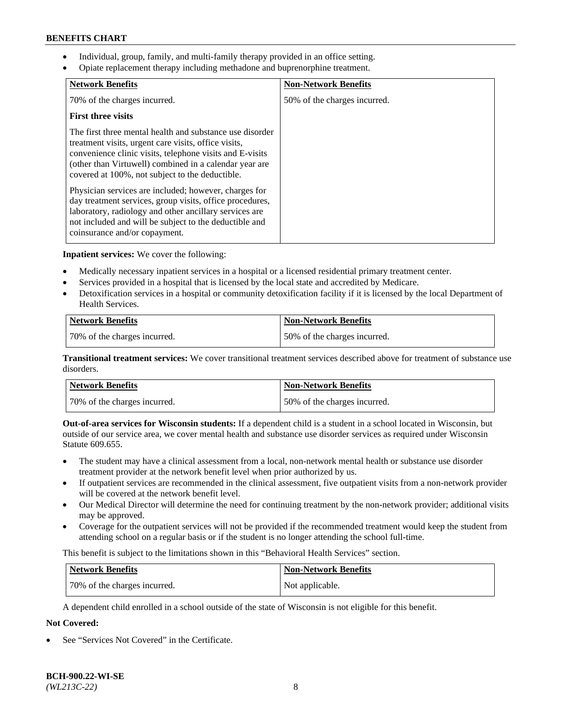- Individual, group, family, and multi-family therapy provided in an office setting.
- Opiate replacement therapy including methadone and buprenorphine treatment.

| <b>Network Benefits</b>                                                                                                                                                                                                                                                                   | <b>Non-Network Benefits</b>  |
|-------------------------------------------------------------------------------------------------------------------------------------------------------------------------------------------------------------------------------------------------------------------------------------------|------------------------------|
| 70% of the charges incurred.                                                                                                                                                                                                                                                              | 50% of the charges incurred. |
| <b>First three visits</b>                                                                                                                                                                                                                                                                 |                              |
| The first three mental health and substance use disorder<br>treatment visits, urgent care visits, office visits,<br>convenience clinic visits, telephone visits and E-visits<br>(other than Virtuwell) combined in a calendar year are<br>covered at 100%, not subject to the deductible. |                              |
| Physician services are included; however, charges for<br>day treatment services, group visits, office procedures,<br>laboratory, radiology and other ancillary services are<br>not included and will be subject to the deductible and<br>coinsurance and/or copayment.                    |                              |

**Inpatient services:** We cover the following:

- Medically necessary inpatient services in a hospital or a licensed residential primary treatment center.
- Services provided in a hospital that is licensed by the local state and accredited by Medicare.
- Detoxification services in a hospital or community detoxification facility if it is licensed by the local Department of Health Services.

| <b>Network Benefits</b>      | <b>Non-Network Benefits</b>  |
|------------------------------|------------------------------|
| 70% of the charges incurred. | 50% of the charges incurred. |

**Transitional treatment services:** We cover transitional treatment services described above for treatment of substance use disorders.

| Network Benefits             | <b>Non-Network Benefits</b>  |
|------------------------------|------------------------------|
| 70% of the charges incurred. | 50% of the charges incurred. |

**Out-of-area services for Wisconsin students:** If a dependent child is a student in a school located in Wisconsin, but outside of our service area, we cover mental health and substance use disorder services as required under Wisconsin Statute 609.655.

- The student may have a clinical assessment from a local, non-network mental health or substance use disorder treatment provider at the network benefit level when prior authorized by us.
- If outpatient services are recommended in the clinical assessment, five outpatient visits from a non-network provider will be covered at the network benefit level.
- Our Medical Director will determine the need for continuing treatment by the non-network provider; additional visits may be approved.
- Coverage for the outpatient services will not be provided if the recommended treatment would keep the student from attending school on a regular basis or if the student is no longer attending the school full-time.

This benefit is subject to the limitations shown in this "Behavioral Health Services" section.

| Network Benefits             | <b>Non-Network Benefits</b> |
|------------------------------|-----------------------------|
| 70% of the charges incurred. | Not applicable.             |

A dependent child enrolled in a school outside of the state of Wisconsin is not eligible for this benefit.

# **Not Covered:**

See "Services Not Covered" in the Certificate.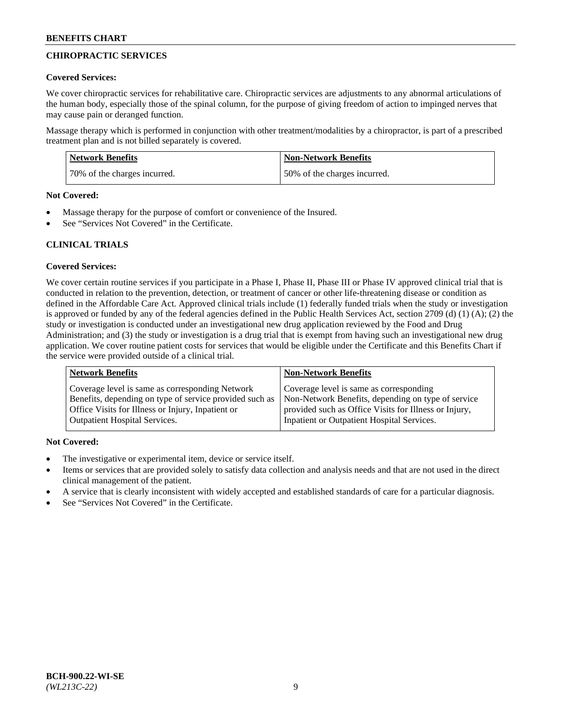# **CHIROPRACTIC SERVICES**

#### **Covered Services:**

We cover chiropractic services for rehabilitative care. Chiropractic services are adjustments to any abnormal articulations of the human body, especially those of the spinal column, for the purpose of giving freedom of action to impinged nerves that may cause pain or deranged function.

Massage therapy which is performed in conjunction with other treatment/modalities by a chiropractor, is part of a prescribed treatment plan and is not billed separately is covered.

| <b>Network Benefits</b>      | Non-Network Benefits         |
|------------------------------|------------------------------|
| 70% of the charges incurred. | 50% of the charges incurred. |

#### **Not Covered:**

- Massage therapy for the purpose of comfort or convenience of the Insured.
- See "Services Not Covered" in the Certificate.

# **CLINICAL TRIALS**

## **Covered Services:**

We cover certain routine services if you participate in a Phase I, Phase II, Phase III or Phase IV approved clinical trial that is conducted in relation to the prevention, detection, or treatment of cancer or other life-threatening disease or condition as defined in the Affordable Care Act. Approved clinical trials include (1) federally funded trials when the study or investigation is approved or funded by any of the federal agencies defined in the Public Health Services Act, section 2709 (d) (1) (A); (2) the study or investigation is conducted under an investigational new drug application reviewed by the Food and Drug Administration; and (3) the study or investigation is a drug trial that is exempt from having such an investigational new drug application. We cover routine patient costs for services that would be eligible under the Certificate and this Benefits Chart if the service were provided outside of a clinical trial.

| <b>Network Benefits</b>                                 | <b>Non-Network Benefits</b>                           |
|---------------------------------------------------------|-------------------------------------------------------|
| Coverage level is same as corresponding Network         | Coverage level is same as corresponding               |
| Benefits, depending on type of service provided such as | Non-Network Benefits, depending on type of service    |
| Office Visits for Illness or Injury, Inpatient or       | provided such as Office Visits for Illness or Injury, |
| <b>Outpatient Hospital Services.</b>                    | Inpatient or Outpatient Hospital Services.            |

## **Not Covered:**

- The investigative or experimental item, device or service itself.
- Items or services that are provided solely to satisfy data collection and analysis needs and that are not used in the direct clinical management of the patient.
- A service that is clearly inconsistent with widely accepted and established standards of care for a particular diagnosis.
- See "Services Not Covered" in the Certificate.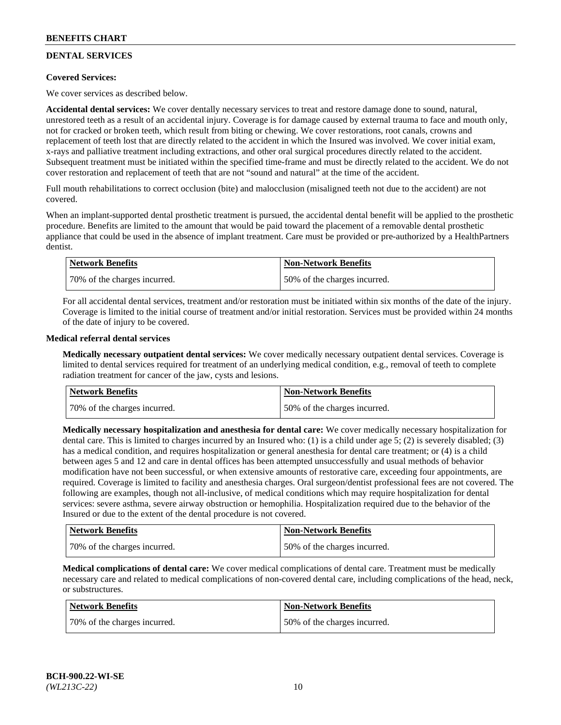# **DENTAL SERVICES**

## **Covered Services:**

We cover services as described below.

**Accidental dental services:** We cover dentally necessary services to treat and restore damage done to sound, natural, unrestored teeth as a result of an accidental injury. Coverage is for damage caused by external trauma to face and mouth only, not for cracked or broken teeth, which result from biting or chewing. We cover restorations, root canals, crowns and replacement of teeth lost that are directly related to the accident in which the Insured was involved. We cover initial exam, x-rays and palliative treatment including extractions, and other oral surgical procedures directly related to the accident. Subsequent treatment must be initiated within the specified time-frame and must be directly related to the accident. We do not cover restoration and replacement of teeth that are not "sound and natural" at the time of the accident.

Full mouth rehabilitations to correct occlusion (bite) and malocclusion (misaligned teeth not due to the accident) are not covered.

When an implant-supported dental prosthetic treatment is pursued, the accidental dental benefit will be applied to the prosthetic procedure. Benefits are limited to the amount that would be paid toward the placement of a removable dental prosthetic appliance that could be used in the absence of implant treatment. Care must be provided or pre-authorized by a HealthPartners dentist.

| <b>Network Benefits</b>       | <b>Non-Network Benefits</b>  |
|-------------------------------|------------------------------|
| 170% of the charges incurred. | 50% of the charges incurred. |

For all accidental dental services, treatment and/or restoration must be initiated within six months of the date of the injury. Coverage is limited to the initial course of treatment and/or initial restoration. Services must be provided within 24 months of the date of injury to be covered.

#### **Medical referral dental services**

**Medically necessary outpatient dental services:** We cover medically necessary outpatient dental services. Coverage is limited to dental services required for treatment of an underlying medical condition, e.g., removal of teeth to complete radiation treatment for cancer of the jaw, cysts and lesions.

| Network Benefits             | <b>Non-Network Benefits</b>  |
|------------------------------|------------------------------|
| 70% of the charges incurred. | 50% of the charges incurred. |

**Medically necessary hospitalization and anesthesia for dental care:** We cover medically necessary hospitalization for dental care. This is limited to charges incurred by an Insured who: (1) is a child under age  $5$ ; (2) is severely disabled; (3) has a medical condition, and requires hospitalization or general anesthesia for dental care treatment; or (4) is a child between ages 5 and 12 and care in dental offices has been attempted unsuccessfully and usual methods of behavior modification have not been successful, or when extensive amounts of restorative care, exceeding four appointments, are required. Coverage is limited to facility and anesthesia charges. Oral surgeon/dentist professional fees are not covered. The following are examples, though not all-inclusive, of medical conditions which may require hospitalization for dental services: severe asthma, severe airway obstruction or hemophilia. Hospitalization required due to the behavior of the Insured or due to the extent of the dental procedure is not covered.

| Network Benefits             | <b>Non-Network Benefits</b>  |
|------------------------------|------------------------------|
| 70% of the charges incurred. | 50% of the charges incurred. |

**Medical complications of dental care:** We cover medical complications of dental care. Treatment must be medically necessary care and related to medical complications of non-covered dental care, including complications of the head, neck, or substructures.

| Network Benefits             | <b>Non-Network Benefits</b>  |
|------------------------------|------------------------------|
| 70% of the charges incurred. | 50% of the charges incurred. |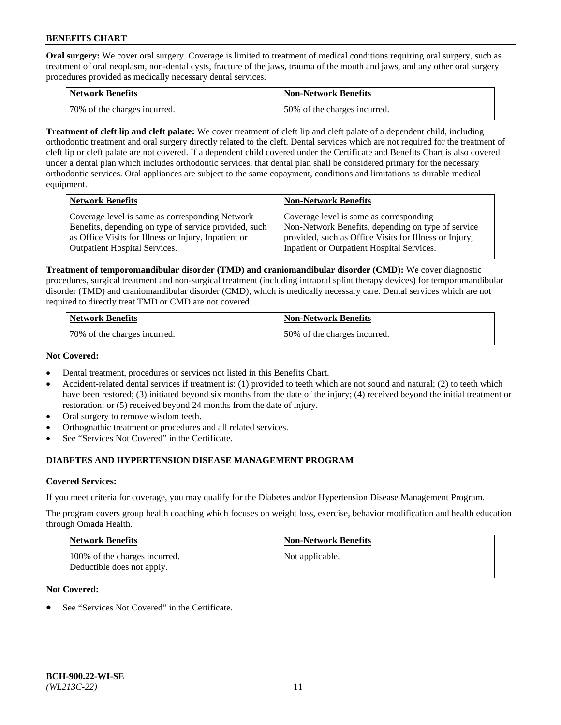**Oral surgery:** We cover oral surgery. Coverage is limited to treatment of medical conditions requiring oral surgery, such as treatment of oral neoplasm, non-dental cysts, fracture of the jaws, trauma of the mouth and jaws, and any other oral surgery procedures provided as medically necessary dental services.

| <b>Network Benefits</b>      | <b>Non-Network Benefits</b>  |
|------------------------------|------------------------------|
| 70% of the charges incurred. | 50% of the charges incurred. |

**Treatment of cleft lip and cleft palate:** We cover treatment of cleft lip and cleft palate of a dependent child, including orthodontic treatment and oral surgery directly related to the cleft. Dental services which are not required for the treatment of cleft lip or cleft palate are not covered. If a dependent child covered under the Certificate and Benefits Chart is also covered under a dental plan which includes orthodontic services, that dental plan shall be considered primary for the necessary orthodontic services. Oral appliances are subject to the same copayment, conditions and limitations as durable medical equipment.

| <b>Network Benefits</b>                               | <b>Non-Network Benefits</b>                            |
|-------------------------------------------------------|--------------------------------------------------------|
| Coverage level is same as corresponding Network       | Coverage level is same as corresponding                |
| Benefits, depending on type of service provided, such | Non-Network Benefits, depending on type of service     |
| as Office Visits for Illness or Injury, Inpatient or  | provided, such as Office Visits for Illness or Injury, |
| <b>Outpatient Hospital Services.</b>                  | Inpatient or Outpatient Hospital Services.             |

**Treatment of temporomandibular disorder (TMD) and craniomandibular disorder (CMD):** We cover diagnostic procedures, surgical treatment and non-surgical treatment (including intraoral splint therapy devices) for temporomandibular disorder (TMD) and craniomandibular disorder (CMD), which is medically necessary care. Dental services which are not required to directly treat TMD or CMD are not covered.

| <b>Network Benefits</b>      | <b>Non-Network Benefits</b>  |
|------------------------------|------------------------------|
| 70% of the charges incurred. | 50% of the charges incurred. |

#### **Not Covered:**

- Dental treatment, procedures or services not listed in this Benefits Chart.
- Accident-related dental services if treatment is: (1) provided to teeth which are not sound and natural; (2) to teeth which have been restored; (3) initiated beyond six months from the date of the injury; (4) received beyond the initial treatment or restoration; or (5) received beyond 24 months from the date of injury.
- Oral surgery to remove wisdom teeth.
- Orthognathic treatment or procedures and all related services.
- See "Services Not Covered" in the Certificate.

# **DIABETES AND HYPERTENSION DISEASE MANAGEMENT PROGRAM**

## **Covered Services:**

If you meet criteria for coverage, you may qualify for the Diabetes and/or Hypertension Disease Management Program.

The program covers group health coaching which focuses on weight loss, exercise, behavior modification and health education through Omada Health.

| <b>Network Benefits</b>                                     | <b>Non-Network Benefits</b> |
|-------------------------------------------------------------|-----------------------------|
| 100% of the charges incurred.<br>Deductible does not apply. | Not applicable.             |

## **Not Covered:**

See "Services Not Covered" in the Certificate.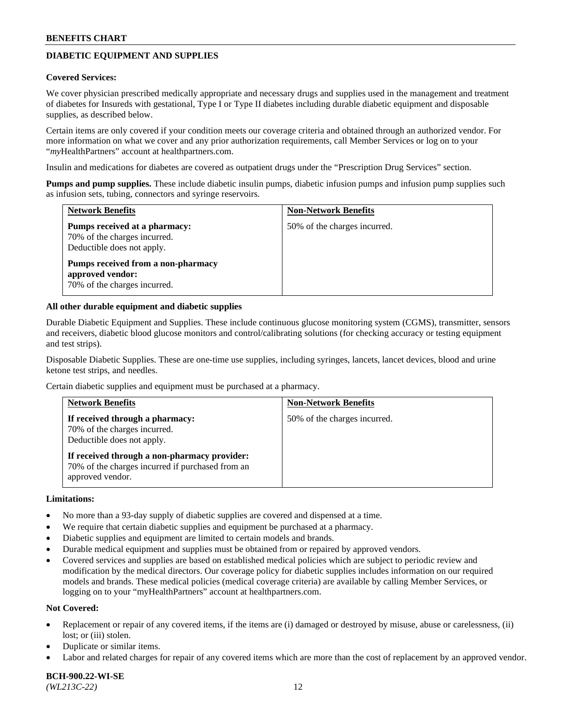# **DIABETIC EQUIPMENT AND SUPPLIES**

#### **Covered Services:**

We cover physician prescribed medically appropriate and necessary drugs and supplies used in the management and treatment of diabetes for Insureds with gestational, Type I or Type II diabetes including durable diabetic equipment and disposable supplies, as described below.

Certain items are only covered if your condition meets our coverage criteria and obtained through an authorized vendor. For more information on what we cover and any prior authorization requirements, call Member Services or log on to your "*my*HealthPartners" account at [healthpartners.com.](http://www.healthpartners.com/)

Insulin and medications for diabetes are covered as outpatient drugs under the "Prescription Drug Services" section.

**Pumps and pump supplies.** These include diabetic insulin pumps, diabetic infusion pumps and infusion pump supplies such as infusion sets, tubing, connectors and syringe reservoirs.

| <b>Network Benefits</b>                                                                     | <b>Non-Network Benefits</b>  |
|---------------------------------------------------------------------------------------------|------------------------------|
| Pumps received at a pharmacy:<br>70% of the charges incurred.<br>Deductible does not apply. | 50% of the charges incurred. |
| Pumps received from a non-pharmacy<br>approved vendor:<br>70% of the charges incurred.      |                              |

#### **All other durable equipment and diabetic supplies**

Durable Diabetic Equipment and Supplies. These include continuous glucose monitoring system (CGMS), transmitter, sensors and receivers, diabetic blood glucose monitors and control/calibrating solutions (for checking accuracy or testing equipment and test strips).

Disposable Diabetic Supplies. These are one-time use supplies, including syringes, lancets, lancet devices, blood and urine ketone test strips, and needles.

Certain diabetic supplies and equipment must be purchased at a pharmacy.

| <b>Network Benefits</b>                                                                                              | <b>Non-Network Benefits</b>  |
|----------------------------------------------------------------------------------------------------------------------|------------------------------|
| If received through a pharmacy:<br>70% of the charges incurred.<br>Deductible does not apply.                        | 50% of the charges incurred. |
| If received through a non-pharmacy provider:<br>70% of the charges incurred if purchased from an<br>approved vendor. |                              |

#### **Limitations:**

- No more than a 93-day supply of diabetic supplies are covered and dispensed at a time.
- We require that certain diabetic supplies and equipment be purchased at a pharmacy.
- Diabetic supplies and equipment are limited to certain models and brands.
- Durable medical equipment and supplies must be obtained from or repaired by approved vendors.
- Covered services and supplies are based on established medical policies which are subject to periodic review and modification by the medical directors. Our coverage policy for diabetic supplies includes information on our required models and brands. These medical policies (medical coverage criteria) are available by calling Member Services, or logging on to your "myHealthPartners" account at [healthpartners.com.](http://www.healthpartners.com/)

#### **Not Covered:**

- Replacement or repair of any covered items, if the items are (i) damaged or destroyed by misuse, abuse or carelessness, (ii) lost; or (iii) stolen.
- Duplicate or similar items.
- Labor and related charges for repair of any covered items which are more than the cost of replacement by an approved vendor.

**BCH-900.22-WI-SE**  *(WL213C-22)* 12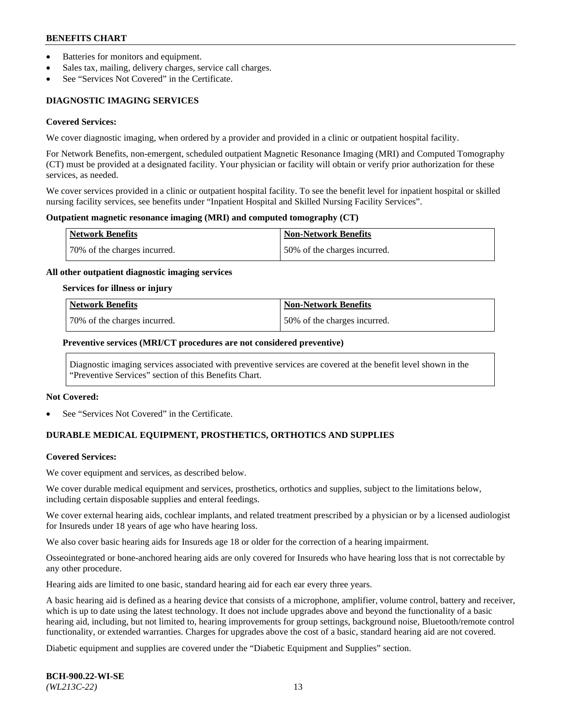- Batteries for monitors and equipment.
- Sales tax, mailing, delivery charges, service call charges.
- See "Services Not Covered" in the Certificate.

# **DIAGNOSTIC IMAGING SERVICES**

#### **Covered Services:**

We cover diagnostic imaging, when ordered by a provider and provided in a clinic or outpatient hospital facility.

For Network Benefits, non-emergent, scheduled outpatient Magnetic Resonance Imaging (MRI) and Computed Tomography (CT) must be provided at a designated facility. Your physician or facility will obtain or verify prior authorization for these services, as needed.

We cover services provided in a clinic or outpatient hospital facility. To see the benefit level for inpatient hospital or skilled nursing facility services, see benefits under "Inpatient Hospital and Skilled Nursing Facility Services".

#### **Outpatient magnetic resonance imaging (MRI) and computed tomography (CT)**

| <b>Network Benefits</b>      | <b>Non-Network Benefits</b>  |
|------------------------------|------------------------------|
| 70% of the charges incurred. | 50% of the charges incurred. |

#### **All other outpatient diagnostic imaging services**

#### **Services for illness or injury**

| Network Benefits             | <b>Non-Network Benefits</b>  |
|------------------------------|------------------------------|
| 70% of the charges incurred. | 50% of the charges incurred. |

#### **Preventive services (MRI/CT procedures are not considered preventive)**

Diagnostic imaging services associated with preventive services are covered at the benefit level shown in the "Preventive Services" section of this Benefits Chart.

#### **Not Covered:**

See "Services Not Covered" in the Certificate.

# **DURABLE MEDICAL EQUIPMENT, PROSTHETICS, ORTHOTICS AND SUPPLIES**

#### **Covered Services:**

We cover equipment and services, as described below.

We cover durable medical equipment and services, prosthetics, orthotics and supplies, subject to the limitations below, including certain disposable supplies and enteral feedings.

We cover external hearing aids, cochlear implants, and related treatment prescribed by a physician or by a licensed audiologist for Insureds under 18 years of age who have hearing loss.

We also cover basic hearing aids for Insureds age 18 or older for the correction of a hearing impairment.

Osseointegrated or bone-anchored hearing aids are only covered for Insureds who have hearing loss that is not correctable by any other procedure.

Hearing aids are limited to one basic, standard hearing aid for each ear every three years.

A basic hearing aid is defined as a hearing device that consists of a microphone, amplifier, volume control, battery and receiver, which is up to date using the latest technology. It does not include upgrades above and beyond the functionality of a basic hearing aid, including, but not limited to, hearing improvements for group settings, background noise, Bluetooth/remote control functionality, or extended warranties. Charges for upgrades above the cost of a basic, standard hearing aid are not covered.

Diabetic equipment and supplies are covered under the "Diabetic Equipment and Supplies" section.

**BCH-900.22-WI-SE**  *(WL213C-22)* 13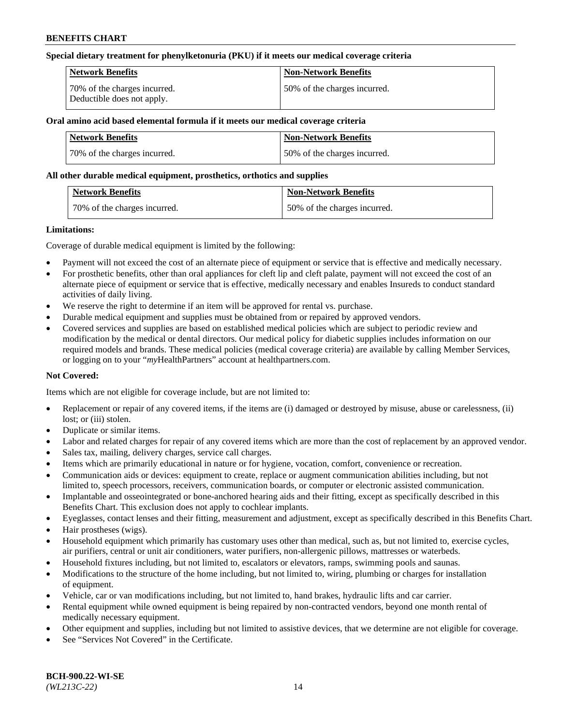#### **Special dietary treatment for phenylketonuria (PKU) if it meets our medical coverage criteria**

| Network Benefits                                           | <b>Non-Network Benefits</b>  |
|------------------------------------------------------------|------------------------------|
| 70% of the charges incurred.<br>Deductible does not apply. | 50% of the charges incurred. |

## **Oral amino acid based elemental formula if it meets our medical coverage criteria**

| Network Benefits             | <b>Non-Network Benefits</b>  |
|------------------------------|------------------------------|
| 70% of the charges incurred. | 50% of the charges incurred. |

#### **All other durable medical equipment, prosthetics, orthotics and supplies**

| <b>Network Benefits</b>      | <b>Non-Network Benefits</b>  |
|------------------------------|------------------------------|
| 70% of the charges incurred. | 50% of the charges incurred. |

#### **Limitations:**

Coverage of durable medical equipment is limited by the following:

- Payment will not exceed the cost of an alternate piece of equipment or service that is effective and medically necessary.
- For prosthetic benefits, other than oral appliances for cleft lip and cleft palate, payment will not exceed the cost of an alternate piece of equipment or service that is effective, medically necessary and enables Insureds to conduct standard activities of daily living.
- We reserve the right to determine if an item will be approved for rental vs. purchase.
- Durable medical equipment and supplies must be obtained from or repaired by approved vendors.
- Covered services and supplies are based on established medical policies which are subject to periodic review and modification by the medical or dental directors. Our medical policy for diabetic supplies includes information on our required models and brands. These medical policies (medical coverage criteria) are available by calling Member Services, or logging on to your "*my*HealthPartners" account a[t healthpartners.com.](http://www.healthpartners.com/)

## **Not Covered:**

Items which are not eligible for coverage include, but are not limited to:

- Replacement or repair of any covered items, if the items are (i) damaged or destroyed by misuse, abuse or carelessness, (ii) lost; or (iii) stolen.
- Duplicate or similar items.
- Labor and related charges for repair of any covered items which are more than the cost of replacement by an approved vendor.
- Sales tax, mailing, delivery charges, service call charges.
- Items which are primarily educational in nature or for hygiene, vocation, comfort, convenience or recreation.
- Communication aids or devices: equipment to create, replace or augment communication abilities including, but not limited to, speech processors, receivers, communication boards, or computer or electronic assisted communication.
- Implantable and osseointegrated or bone-anchored hearing aids and their fitting, except as specifically described in this Benefits Chart. This exclusion does not apply to cochlear implants.
- Eyeglasses, contact lenses and their fitting, measurement and adjustment, except as specifically described in this Benefits Chart.
- Hair prostheses (wigs).
- Household equipment which primarily has customary uses other than medical, such as, but not limited to, exercise cycles, air purifiers, central or unit air conditioners, water purifiers, non-allergenic pillows, mattresses or waterbeds.
- Household fixtures including, but not limited to, escalators or elevators, ramps, swimming pools and saunas.
- Modifications to the structure of the home including, but not limited to, wiring, plumbing or charges for installation of equipment.
- Vehicle, car or van modifications including, but not limited to, hand brakes, hydraulic lifts and car carrier.
- Rental equipment while owned equipment is being repaired by non-contracted vendors, beyond one month rental of medically necessary equipment.
- Other equipment and supplies, including but not limited to assistive devices, that we determine are not eligible for coverage.
- See "Services Not Covered" in the Certificate.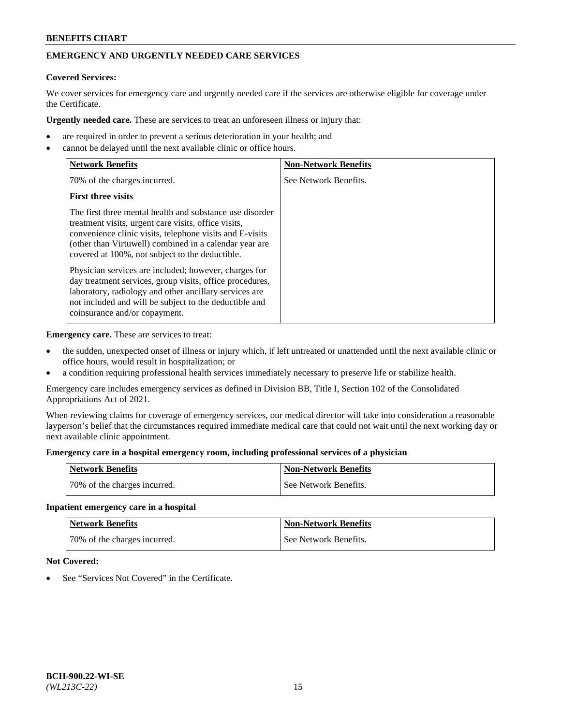# **EMERGENCY AND URGENTLY NEEDED CARE SERVICES**

# **Covered Services:**

We cover services for emergency care and urgently needed care if the services are otherwise eligible for coverage under the Certificate.

**Urgently needed care.** These are services to treat an unforeseen illness or injury that:

- are required in order to prevent a serious deterioration in your health; and
- cannot be delayed until the next available clinic or office hours.

| <b>Network Benefits</b>                                                                                                                                                                                                                                                                   | <b>Non-Network Benefits</b> |
|-------------------------------------------------------------------------------------------------------------------------------------------------------------------------------------------------------------------------------------------------------------------------------------------|-----------------------------|
| 70% of the charges incurred.                                                                                                                                                                                                                                                              | See Network Benefits.       |
| <b>First three visits</b>                                                                                                                                                                                                                                                                 |                             |
| The first three mental health and substance use disorder<br>treatment visits, urgent care visits, office visits,<br>convenience clinic visits, telephone visits and E-visits<br>(other than Virtuwell) combined in a calendar year are<br>covered at 100%, not subject to the deductible. |                             |
| Physician services are included; however, charges for<br>day treatment services, group visits, office procedures,<br>laboratory, radiology and other ancillary services are<br>not included and will be subject to the deductible and<br>coinsurance and/or copayment.                    |                             |

**Emergency care.** These are services to treat:

- the sudden, unexpected onset of illness or injury which, if left untreated or unattended until the next available clinic or office hours, would result in hospitalization; or
- a condition requiring professional health services immediately necessary to preserve life or stabilize health.

Emergency care includes emergency services as defined in Division BB, Title I, Section 102 of the Consolidated Appropriations Act of 2021.

When reviewing claims for coverage of emergency services, our medical director will take into consideration a reasonable layperson's belief that the circumstances required immediate medical care that could not wait until the next working day or next available clinic appointment.

#### **Emergency care in a hospital emergency room, including professional services of a physician**

| <b>Network Benefits</b>      | <b>Non-Network Benefits</b> |
|------------------------------|-----------------------------|
| 70% of the charges incurred. | See Network Benefits.       |

#### **Inpatient emergency care in a hospital**

| <b>Network Benefits</b>      | Non-Network Benefits  |
|------------------------------|-----------------------|
| 70% of the charges incurred. | See Network Benefits. |

## **Not Covered:**

See "Services Not Covered" in the Certificate.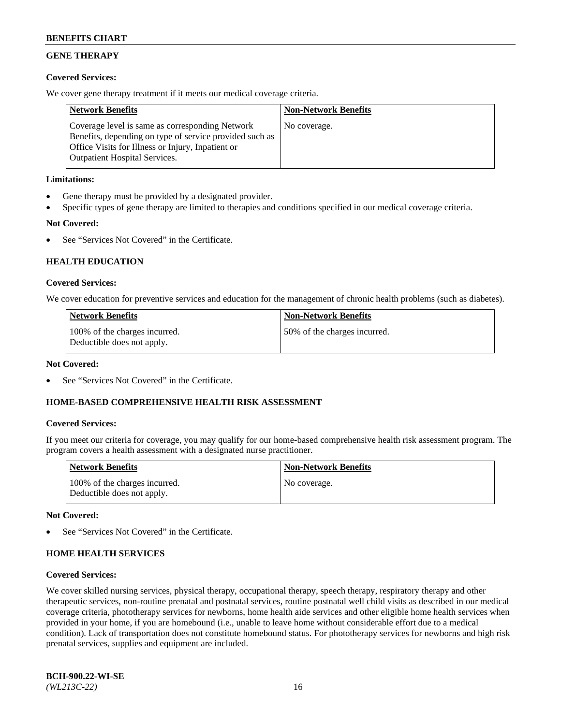# **GENE THERAPY**

## **Covered Services:**

We cover gene therapy treatment if it meets our medical coverage criteria.

| <b>Network Benefits</b>                                                                                                                                                                                 | <b>Non-Network Benefits</b> |
|---------------------------------------------------------------------------------------------------------------------------------------------------------------------------------------------------------|-----------------------------|
| Coverage level is same as corresponding Network<br>Benefits, depending on type of service provided such as<br>Office Visits for Illness or Injury, Inpatient or<br><b>Outpatient Hospital Services.</b> | No coverage.                |

## **Limitations:**

- Gene therapy must be provided by a designated provider.
- Specific types of gene therapy are limited to therapies and conditions specified in our medical coverage criteria.

# **Not Covered:**

See "Services Not Covered" in the Certificate.

# **HEALTH EDUCATION**

## **Covered Services:**

We cover education for preventive services and education for the management of chronic health problems (such as diabetes).

| <b>Network Benefits</b>                                     | <b>Non-Network Benefits</b>   |
|-------------------------------------------------------------|-------------------------------|
| 100% of the charges incurred.<br>Deductible does not apply. | 150% of the charges incurred. |

#### **Not Covered:**

See "Services Not Covered" in the Certificate.

## **HOME-BASED COMPREHENSIVE HEALTH RISK ASSESSMENT**

## **Covered Services:**

If you meet our criteria for coverage, you may qualify for our home-based comprehensive health risk assessment program. The program covers a health assessment with a designated nurse practitioner.

| <b>Network Benefits</b>                                     | <b>Non-Network Benefits</b> |
|-------------------------------------------------------------|-----------------------------|
| 100% of the charges incurred.<br>Deductible does not apply. | No coverage.                |

## **Not Covered:**

See "Services Not Covered" in the Certificate.

# **HOME HEALTH SERVICES**

## **Covered Services:**

We cover skilled nursing services, physical therapy, occupational therapy, speech therapy, respiratory therapy and other therapeutic services, non-routine prenatal and postnatal services, routine postnatal well child visits as described in our medical coverage criteria, phototherapy services for newborns, home health aide services and other eligible home health services when provided in your home, if you are homebound (i.e., unable to leave home without considerable effort due to a medical condition). Lack of transportation does not constitute homebound status. For phototherapy services for newborns and high risk prenatal services, supplies and equipment are included.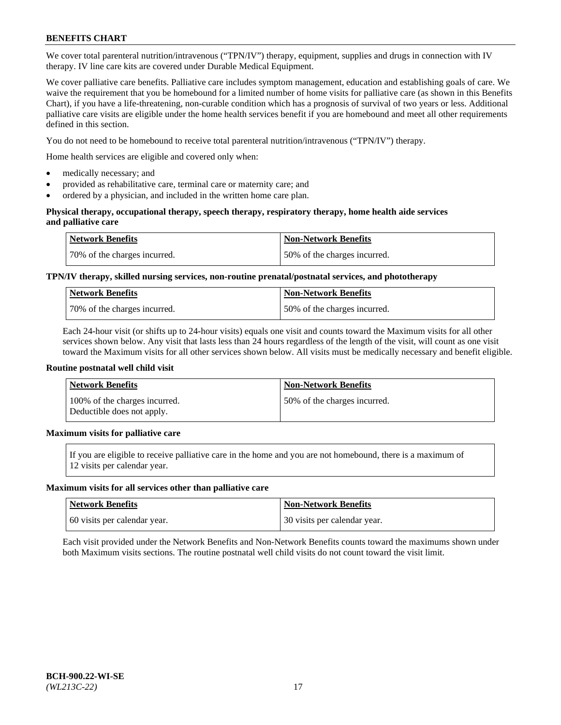We cover total parenteral nutrition/intravenous ("TPN/IV") therapy, equipment, supplies and drugs in connection with IV therapy. IV line care kits are covered under Durable Medical Equipment.

We cover palliative care benefits. Palliative care includes symptom management, education and establishing goals of care. We waive the requirement that you be homebound for a limited number of home visits for palliative care (as shown in this Benefits Chart), if you have a life-threatening, non-curable condition which has a prognosis of survival of two years or less. Additional palliative care visits are eligible under the home health services benefit if you are homebound and meet all other requirements defined in this section.

You do not need to be homebound to receive total parenteral nutrition/intravenous ("TPN/IV") therapy.

Home health services are eligible and covered only when:

- medically necessary; and
- provided as rehabilitative care, terminal care or maternity care; and
- ordered by a physician, and included in the written home care plan.

#### **Physical therapy, occupational therapy, speech therapy, respiratory therapy, home health aide services and palliative care**

| <b>Network Benefits</b>      | <b>Non-Network Benefits</b>  |
|------------------------------|------------------------------|
| 70% of the charges incurred. | 50% of the charges incurred. |

# **TPN/IV therapy, skilled nursing services, non-routine prenatal/postnatal services, and phototherapy**

| <b>Network Benefits</b>      | <b>Non-Network Benefits</b>  |
|------------------------------|------------------------------|
| 70% of the charges incurred. | 50% of the charges incurred. |

Each 24-hour visit (or shifts up to 24-hour visits) equals one visit and counts toward the Maximum visits for all other services shown below. Any visit that lasts less than 24 hours regardless of the length of the visit, will count as one visit toward the Maximum visits for all other services shown below. All visits must be medically necessary and benefit eligible.

#### **Routine postnatal well child visit**

| <b>Network Benefits</b>                                     | <b>Non-Network Benefits</b>  |
|-------------------------------------------------------------|------------------------------|
| 100% of the charges incurred.<br>Deductible does not apply. | 50% of the charges incurred. |

## **Maximum visits for palliative care**

If you are eligible to receive palliative care in the home and you are not homebound, there is a maximum of 12 visits per calendar year.

#### **Maximum visits for all services other than palliative care**

| <b>Network Benefits</b>      | <b>Non-Network Benefits</b>  |
|------------------------------|------------------------------|
| 60 visits per calendar year. | 30 visits per calendar year. |

Each visit provided under the Network Benefits and Non-Network Benefits counts toward the maximums shown under both Maximum visits sections. The routine postnatal well child visits do not count toward the visit limit.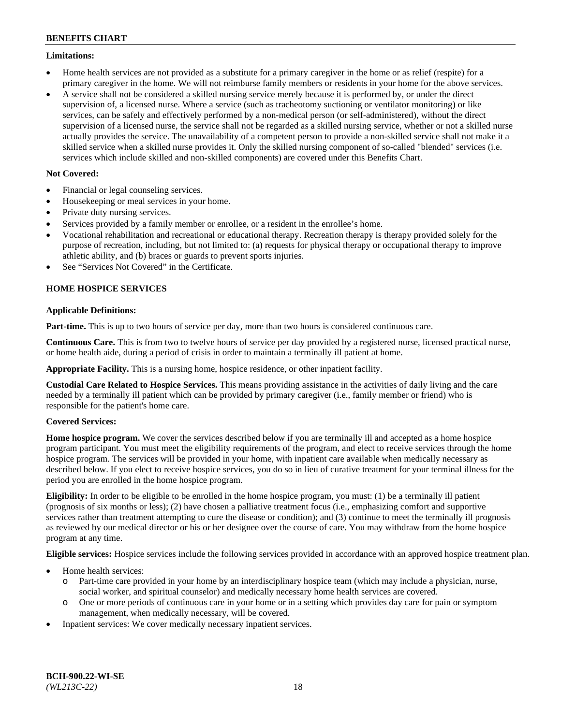## **Limitations:**

- Home health services are not provided as a substitute for a primary caregiver in the home or as relief (respite) for a primary caregiver in the home. We will not reimburse family members or residents in your home for the above services.
- A service shall not be considered a skilled nursing service merely because it is performed by, or under the direct supervision of, a licensed nurse. Where a service (such as tracheotomy suctioning or ventilator monitoring) or like services, can be safely and effectively performed by a non-medical person (or self-administered), without the direct supervision of a licensed nurse, the service shall not be regarded as a skilled nursing service, whether or not a skilled nurse actually provides the service. The unavailability of a competent person to provide a non-skilled service shall not make it a skilled service when a skilled nurse provides it. Only the skilled nursing component of so-called "blended" services (i.e. services which include skilled and non-skilled components) are covered under this Benefits Chart.

## **Not Covered:**

- Financial or legal counseling services.
- Housekeeping or meal services in your home.
- Private duty nursing services.
- Services provided by a family member or enrollee, or a resident in the enrollee's home.
- Vocational rehabilitation and recreational or educational therapy. Recreation therapy is therapy provided solely for the purpose of recreation, including, but not limited to: (a) requests for physical therapy or occupational therapy to improve athletic ability, and (b) braces or guards to prevent sports injuries.
- See "Services Not Covered" in the Certificate.

# **HOME HOSPICE SERVICES**

## **Applicable Definitions:**

**Part-time.** This is up to two hours of service per day, more than two hours is considered continuous care.

**Continuous Care.** This is from two to twelve hours of service per day provided by a registered nurse, licensed practical nurse, or home health aide, during a period of crisis in order to maintain a terminally ill patient at home.

**Appropriate Facility.** This is a nursing home, hospice residence, or other inpatient facility.

**Custodial Care Related to Hospice Services.** This means providing assistance in the activities of daily living and the care needed by a terminally ill patient which can be provided by primary caregiver (i.e., family member or friend) who is responsible for the patient's home care.

## **Covered Services:**

**Home hospice program.** We cover the services described below if you are terminally ill and accepted as a home hospice program participant. You must meet the eligibility requirements of the program, and elect to receive services through the home hospice program. The services will be provided in your home, with inpatient care available when medically necessary as described below. If you elect to receive hospice services, you do so in lieu of curative treatment for your terminal illness for the period you are enrolled in the home hospice program.

**Eligibility:** In order to be eligible to be enrolled in the home hospice program, you must: (1) be a terminally ill patient (prognosis of six months or less); (2) have chosen a palliative treatment focus (i.e., emphasizing comfort and supportive services rather than treatment attempting to cure the disease or condition); and (3) continue to meet the terminally ill prognosis as reviewed by our medical director or his or her designee over the course of care. You may withdraw from the home hospice program at any time.

**Eligible services:** Hospice services include the following services provided in accordance with an approved hospice treatment plan.

- Home health services:
	- o Part-time care provided in your home by an interdisciplinary hospice team (which may include a physician, nurse, social worker, and spiritual counselor) and medically necessary home health services are covered.
	- o One or more periods of continuous care in your home or in a setting which provides day care for pain or symptom management, when medically necessary, will be covered.
- Inpatient services: We cover medically necessary inpatient services.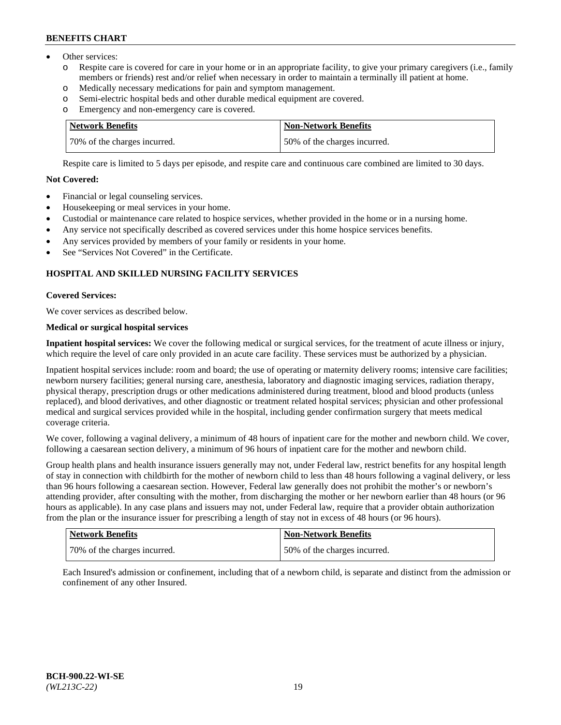- Other services:
	- o Respite care is covered for care in your home or in an appropriate facility, to give your primary caregivers (i.e., family members or friends) rest and/or relief when necessary in order to maintain a terminally ill patient at home.
	- o Medically necessary medications for pain and symptom management.
	- o Semi-electric hospital beds and other durable medical equipment are covered.
	- Emergency and non-emergency care is covered.

| Network Benefits             | Non-Network Benefits         |
|------------------------------|------------------------------|
| 70% of the charges incurred. | 50% of the charges incurred. |

Respite care is limited to 5 days per episode, and respite care and continuous care combined are limited to 30 days.

# **Not Covered:**

- Financial or legal counseling services.
- Housekeeping or meal services in your home.
- Custodial or maintenance care related to hospice services, whether provided in the home or in a nursing home.
- Any service not specifically described as covered services under this home hospice services benefits.
- Any services provided by members of your family or residents in your home.
- See "Services Not Covered" in the Certificate.

## **HOSPITAL AND SKILLED NURSING FACILITY SERVICES**

#### **Covered Services:**

We cover services as described below.

## **Medical or surgical hospital services**

**Inpatient hospital services:** We cover the following medical or surgical services, for the treatment of acute illness or injury, which require the level of care only provided in an acute care facility. These services must be authorized by a physician.

Inpatient hospital services include: room and board; the use of operating or maternity delivery rooms; intensive care facilities; newborn nursery facilities; general nursing care, anesthesia, laboratory and diagnostic imaging services, radiation therapy, physical therapy, prescription drugs or other medications administered during treatment, blood and blood products (unless replaced), and blood derivatives, and other diagnostic or treatment related hospital services; physician and other professional medical and surgical services provided while in the hospital, including gender confirmation surgery that meets medical coverage criteria.

We cover, following a vaginal delivery, a minimum of 48 hours of inpatient care for the mother and newborn child. We cover, following a caesarean section delivery, a minimum of 96 hours of inpatient care for the mother and newborn child.

Group health plans and health insurance issuers generally may not, under Federal law, restrict benefits for any hospital length of stay in connection with childbirth for the mother of newborn child to less than 48 hours following a vaginal delivery, or less than 96 hours following a caesarean section. However, Federal law generally does not prohibit the mother's or newborn's attending provider, after consulting with the mother, from discharging the mother or her newborn earlier than 48 hours (or 96 hours as applicable). In any case plans and issuers may not, under Federal law, require that a provider obtain authorization from the plan or the insurance issuer for prescribing a length of stay not in excess of 48 hours (or 96 hours).

| <b>Network Benefits</b>      | <b>Non-Network Benefits</b>  |
|------------------------------|------------------------------|
| 70% of the charges incurred. | 50% of the charges incurred. |

Each Insured's admission or confinement, including that of a newborn child, is separate and distinct from the admission or confinement of any other Insured.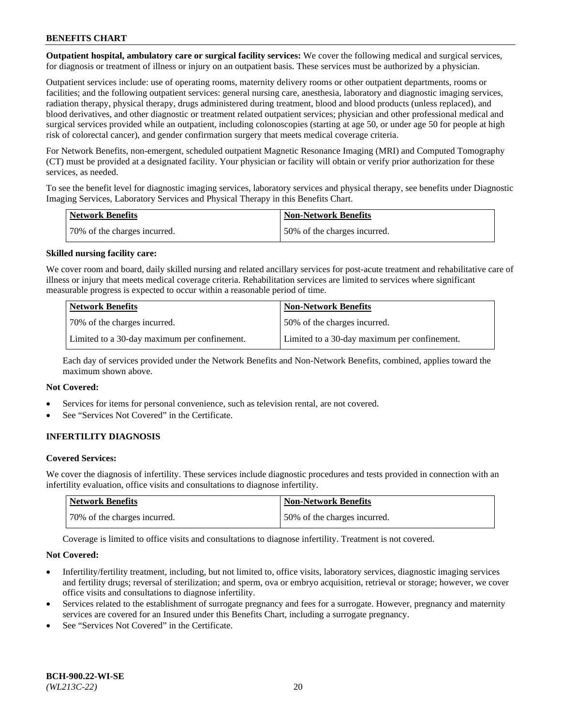**Outpatient hospital, ambulatory care or surgical facility services:** We cover the following medical and surgical services, for diagnosis or treatment of illness or injury on an outpatient basis. These services must be authorized by a physician.

Outpatient services include: use of operating rooms, maternity delivery rooms or other outpatient departments, rooms or facilities; and the following outpatient services: general nursing care, anesthesia, laboratory and diagnostic imaging services, radiation therapy, physical therapy, drugs administered during treatment, blood and blood products (unless replaced), and blood derivatives, and other diagnostic or treatment related outpatient services; physician and other professional medical and surgical services provided while an outpatient, including colonoscopies (starting at age 50, or under age 50 for people at high risk of colorectal cancer), and gender confirmation surgery that meets medical coverage criteria.

For Network Benefits, non-emergent, scheduled outpatient Magnetic Resonance Imaging (MRI) and Computed Tomography (CT) must be provided at a designated facility. Your physician or facility will obtain or verify prior authorization for these services, as needed.

To see the benefit level for diagnostic imaging services, laboratory services and physical therapy, see benefits under Diagnostic Imaging Services, Laboratory Services and Physical Therapy in this Benefits Chart.

| <b>Network Benefits</b>       | <b>Non-Network Benefits</b>  |
|-------------------------------|------------------------------|
| 170% of the charges incurred. | 50% of the charges incurred. |

#### **Skilled nursing facility care:**

We cover room and board, daily skilled nursing and related ancillary services for post-acute treatment and rehabilitative care of illness or injury that meets medical coverage criteria. Rehabilitation services are limited to services where significant measurable progress is expected to occur within a reasonable period of time.

| <b>Network Benefits</b> |                                              | <b>Non-Network Benefits</b>                  |
|-------------------------|----------------------------------------------|----------------------------------------------|
|                         | 70\% of the charges incurred.                | 50% of the charges incurred.                 |
|                         | Limited to a 30-day maximum per confinement. | Limited to a 30-day maximum per confinement. |

Each day of services provided under the Network Benefits and Non-Network Benefits, combined, applies toward the maximum shown above.

## **Not Covered:**

- Services for items for personal convenience, such as television rental, are not covered.
- See "Services Not Covered" in the Certificate.

## **INFERTILITY DIAGNOSIS**

#### **Covered Services:**

We cover the diagnosis of infertility. These services include diagnostic procedures and tests provided in connection with an infertility evaluation, office visits and consultations to diagnose infertility.

| Network Benefits             | <b>Non-Network Benefits</b>  |
|------------------------------|------------------------------|
| 70% of the charges incurred. | 50% of the charges incurred. |

Coverage is limited to office visits and consultations to diagnose infertility. Treatment is not covered.

#### **Not Covered:**

- Infertility/fertility treatment, including, but not limited to, office visits, laboratory services, diagnostic imaging services and fertility drugs; reversal of sterilization; and sperm, ova or embryo acquisition, retrieval or storage; however, we cover office visits and consultations to diagnose infertility.
- Services related to the establishment of surrogate pregnancy and fees for a surrogate. However, pregnancy and maternity services are covered for an Insured under this Benefits Chart, including a surrogate pregnancy.
- See "Services Not Covered" in the Certificate.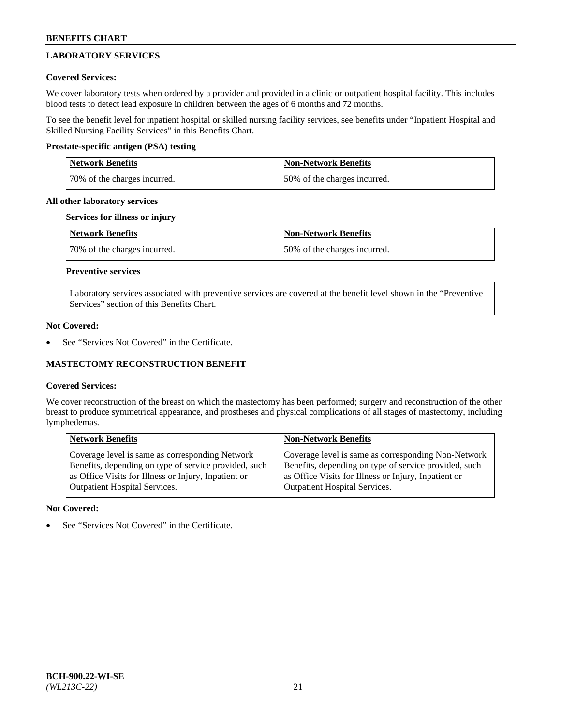# **LABORATORY SERVICES**

## **Covered Services:**

We cover laboratory tests when ordered by a provider and provided in a clinic or outpatient hospital facility. This includes blood tests to detect lead exposure in children between the ages of 6 months and 72 months.

To see the benefit level for inpatient hospital or skilled nursing facility services, see benefits under "Inpatient Hospital and Skilled Nursing Facility Services" in this Benefits Chart.

## **Prostate-specific antigen (PSA) testing**

| <b>Network Benefits</b>      | <b>Non-Network Benefits</b>  |
|------------------------------|------------------------------|
| 70% of the charges incurred. | 50% of the charges incurred. |

## **All other laboratory services**

## **Services for illness or injury**

| Network Benefits             | <b>Non-Network Benefits</b>  |
|------------------------------|------------------------------|
| 70% of the charges incurred. | 50% of the charges incurred. |

# **Preventive services**

Laboratory services associated with preventive services are covered at the benefit level shown in the "Preventive Services" section of this Benefits Chart.

## **Not Covered:**

See "Services Not Covered" in the Certificate.

## **MASTECTOMY RECONSTRUCTION BENEFIT**

## **Covered Services:**

We cover reconstruction of the breast on which the mastectomy has been performed; surgery and reconstruction of the other breast to produce symmetrical appearance, and prostheses and physical complications of all stages of mastectomy, including lymphedemas.

| <b>Network Benefits</b>                               | <b>Non-Network Benefits</b>                           |
|-------------------------------------------------------|-------------------------------------------------------|
| Coverage level is same as corresponding Network       | Coverage level is same as corresponding Non-Network   |
| Benefits, depending on type of service provided, such | Benefits, depending on type of service provided, such |
| as Office Visits for Illness or Injury, Inpatient or  | as Office Visits for Illness or Injury, Inpatient or  |
| <b>Outpatient Hospital Services.</b>                  | <b>Outpatient Hospital Services.</b>                  |

## **Not Covered:**

See "Services Not Covered" in the Certificate.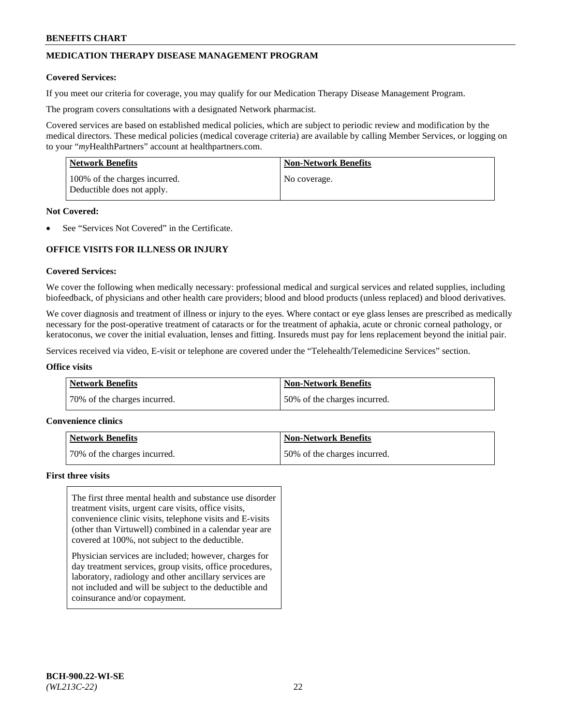# **MEDICATION THERAPY DISEASE MANAGEMENT PROGRAM**

#### **Covered Services:**

If you meet our criteria for coverage, you may qualify for our Medication Therapy Disease Management Program.

The program covers consultations with a designated Network pharmacist.

Covered services are based on established medical policies, which are subject to periodic review and modification by the medical directors. These medical policies (medical coverage criteria) are available by calling Member Services, or logging on to your "*my*HealthPartners" account at [healthpartners.com.](http://www.healthpartners.com/)

| <b>Network Benefits</b>                                     | <b>Non-Network Benefits</b> |
|-------------------------------------------------------------|-----------------------------|
| 100% of the charges incurred.<br>Deductible does not apply. | No coverage.                |

#### **Not Covered:**

See "Services Not Covered" in the Certificate.

# **OFFICE VISITS FOR ILLNESS OR INJURY**

#### **Covered Services:**

We cover the following when medically necessary: professional medical and surgical services and related supplies, including biofeedback, of physicians and other health care providers; blood and blood products (unless replaced) and blood derivatives.

We cover diagnosis and treatment of illness or injury to the eyes. Where contact or eye glass lenses are prescribed as medically necessary for the post-operative treatment of cataracts or for the treatment of aphakia, acute or chronic corneal pathology, or keratoconus, we cover the initial evaluation, lenses and fitting. Insureds must pay for lens replacement beyond the initial pair.

Services received via video, E-visit or telephone are covered under the "Telehealth/Telemedicine Services" section.

#### **Office visits**

| <b>Network Benefits</b>      | <b>Non-Network Benefits</b>  |
|------------------------------|------------------------------|
| 70% of the charges incurred. | 50% of the charges incurred. |

#### **Convenience clinics**

| Network Benefits             | <b>Non-Network Benefits</b>  |
|------------------------------|------------------------------|
| 70% of the charges incurred. | 50% of the charges incurred. |

#### **First three visits**

The first three mental health and substance use disorder treatment visits, urgent care visits, office visits, convenience clinic visits, telephone visits and E-visits (other than Virtuwell) combined in a calendar year are covered at 100%, not subject to the deductible.

Physician services are included; however, charges for day treatment services, group visits, office procedures, laboratory, radiology and other ancillary services are not included and will be subject to the deductible and coinsurance and/or copayment.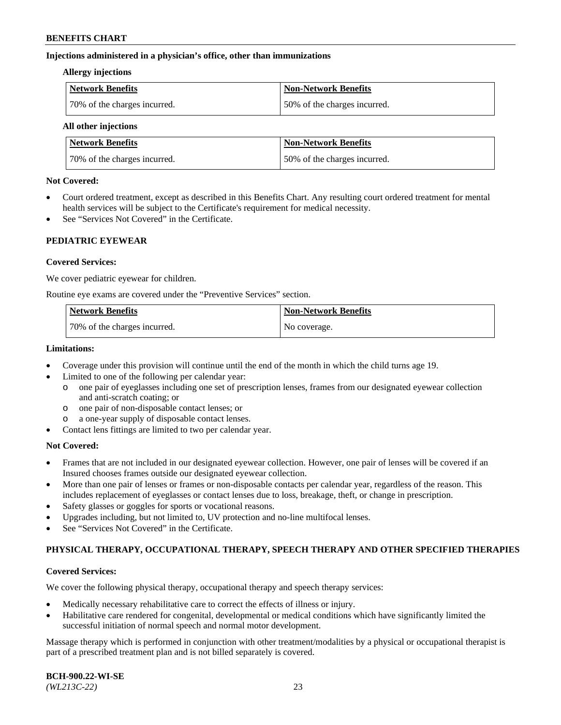#### **Injections administered in a physician's office, other than immunizations**

#### **Allergy injections**

| <b>Network Benefits</b>      | Non-Network Benefits         |
|------------------------------|------------------------------|
| 70% of the charges incurred. | 50% of the charges incurred. |

#### **All other injections**

| <b>Network Benefits</b>      | <b>Non-Network Benefits</b>  |
|------------------------------|------------------------------|
| 70% of the charges incurred. | 50% of the charges incurred. |

#### **Not Covered:**

- Court ordered treatment, except as described in this Benefits Chart. Any resulting court ordered treatment for mental health services will be subject to the Certificate's requirement for medical necessity.
- See "Services Not Covered" in the Certificate.

## **PEDIATRIC EYEWEAR**

#### **Covered Services:**

We cover pediatric eyewear for children.

Routine eye exams are covered under the "Preventive Services" section.

| <b>Network Benefits</b>      | <b>Non-Network Benefits</b> |
|------------------------------|-----------------------------|
| 70% of the charges incurred. | No coverage.                |

#### **Limitations:**

- Coverage under this provision will continue until the end of the month in which the child turns age 19.
- Limited to one of the following per calendar year:
	- o one pair of eyeglasses including one set of prescription lenses, frames from our designated eyewear collection and anti-scratch coating; or
	- o one pair of non-disposable contact lenses; or
	- o a one-year supply of disposable contact lenses.
- Contact lens fittings are limited to two per calendar year.

## **Not Covered:**

- Frames that are not included in our designated eyewear collection. However, one pair of lenses will be covered if an Insured chooses frames outside our designated eyewear collection.
- More than one pair of lenses or frames or non-disposable contacts per calendar year, regardless of the reason. This includes replacement of eyeglasses or contact lenses due to loss, breakage, theft, or change in prescription.
- Safety glasses or goggles for sports or vocational reasons.
- Upgrades including, but not limited to, UV protection and no-line multifocal lenses.
- See "Services Not Covered" in the Certificate.

## **PHYSICAL THERAPY, OCCUPATIONAL THERAPY, SPEECH THERAPY AND OTHER SPECIFIED THERAPIES**

## **Covered Services:**

We cover the following physical therapy, occupational therapy and speech therapy services:

- Medically necessary rehabilitative care to correct the effects of illness or injury.
- Habilitative care rendered for congenital, developmental or medical conditions which have significantly limited the successful initiation of normal speech and normal motor development.

Massage therapy which is performed in conjunction with other treatment/modalities by a physical or occupational therapist is part of a prescribed treatment plan and is not billed separately is covered.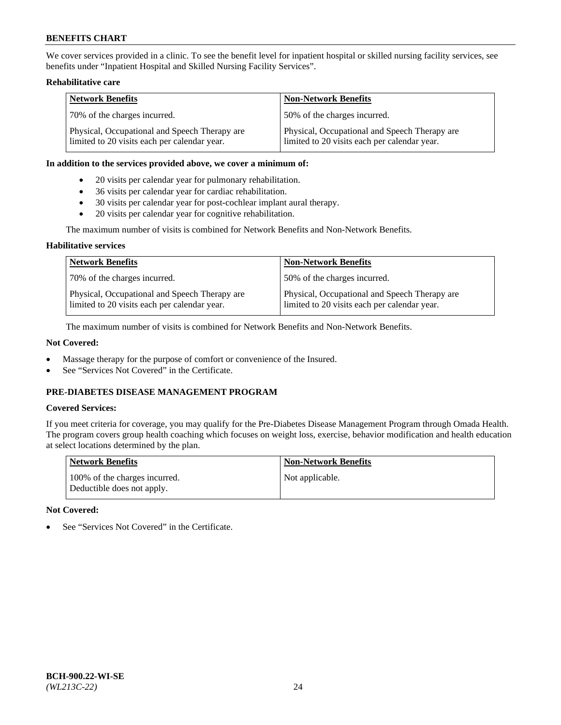We cover services provided in a clinic. To see the benefit level for inpatient hospital or skilled nursing facility services, see benefits under "Inpatient Hospital and Skilled Nursing Facility Services".

## **Rehabilitative care**

| <b>Network Benefits</b>                                                                       | <b>Non-Network Benefits</b>                                                                   |
|-----------------------------------------------------------------------------------------------|-----------------------------------------------------------------------------------------------|
| 70% of the charges incurred.                                                                  | 50% of the charges incurred.                                                                  |
| Physical, Occupational and Speech Therapy are<br>limited to 20 visits each per calendar year. | Physical, Occupational and Speech Therapy are<br>limited to 20 visits each per calendar year. |

#### **In addition to the services provided above, we cover a minimum of:**

- 20 visits per calendar year for pulmonary rehabilitation.
- 36 visits per calendar year for cardiac rehabilitation.
- 30 visits per calendar year for post-cochlear implant aural therapy.
- 20 visits per calendar year for cognitive rehabilitation.

The maximum number of visits is combined for Network Benefits and Non-Network Benefits.

#### **Habilitative services**

| <b>Network Benefits</b>                                                                       | <b>Non-Network Benefits</b>                                                                   |
|-----------------------------------------------------------------------------------------------|-----------------------------------------------------------------------------------------------|
| 70% of the charges incurred.                                                                  | 50% of the charges incurred.                                                                  |
| Physical, Occupational and Speech Therapy are<br>limited to 20 visits each per calendar year. | Physical, Occupational and Speech Therapy are<br>limited to 20 visits each per calendar year. |

The maximum number of visits is combined for Network Benefits and Non-Network Benefits.

## **Not Covered:**

- Massage therapy for the purpose of comfort or convenience of the Insured.
- See "Services Not Covered" in the Certificate.

# **PRE-DIABETES DISEASE MANAGEMENT PROGRAM**

## **Covered Services:**

If you meet criteria for coverage, you may qualify for the Pre-Diabetes Disease Management Program through Omada Health. The program covers group health coaching which focuses on weight loss, exercise, behavior modification and health education at select locations determined by the plan.

| <b>Network Benefits</b>                                     | <b>Non-Network Benefits</b> |
|-------------------------------------------------------------|-----------------------------|
| 100% of the charges incurred.<br>Deductible does not apply. | Not applicable.             |

## **Not Covered:**

See "Services Not Covered" in the Certificate.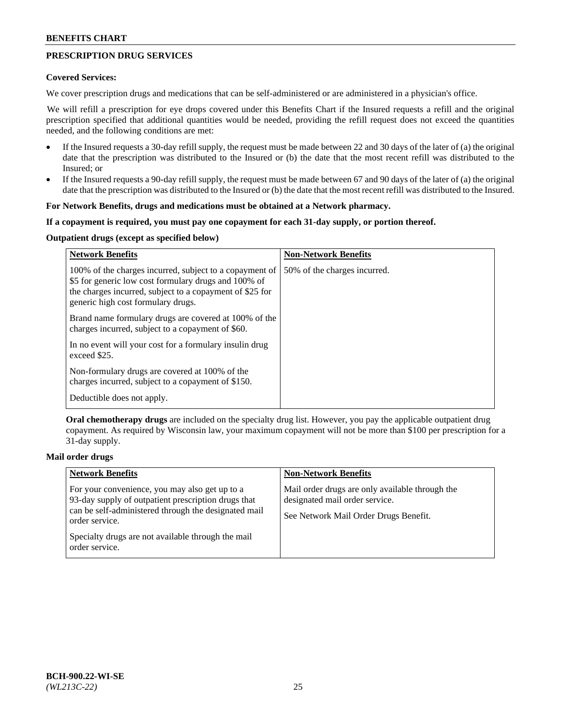# **PRESCRIPTION DRUG SERVICES**

#### **Covered Services:**

We cover prescription drugs and medications that can be self-administered or are administered in a physician's office.

We will refill a prescription for eye drops covered under this Benefits Chart if the Insured requests a refill and the original prescription specified that additional quantities would be needed, providing the refill request does not exceed the quantities needed, and the following conditions are met:

- If the Insured requests a 30-day refill supply, the request must be made between 22 and 30 days of the later of (a) the original date that the prescription was distributed to the Insured or (b) the date that the most recent refill was distributed to the Insured; or
- If the Insured requests a 90-day refill supply, the request must be made between 67 and 90 days of the later of (a) the original date that the prescription was distributed to the Insured or (b) the date that the most recent refill was distributed to the Insured.

#### **For Network Benefits, drugs and medications must be obtained at a Network pharmacy.**

#### **If a copayment is required, you must pay one copayment for each 31-day supply, or portion thereof.**

# **Outpatient drugs (except as specified below)**

| <b>Network Benefits</b>                                                                                                                                                                                           | <b>Non-Network Benefits</b>  |
|-------------------------------------------------------------------------------------------------------------------------------------------------------------------------------------------------------------------|------------------------------|
| 100% of the charges incurred, subject to a copayment of<br>\$5 for generic low cost formulary drugs and 100% of<br>the charges incurred, subject to a copayment of \$25 for<br>generic high cost formulary drugs. | 50% of the charges incurred. |
| Brand name formulary drugs are covered at 100% of the<br>charges incurred, subject to a copayment of \$60.                                                                                                        |                              |
| In no event will your cost for a formulary insulin drug<br>exceed \$25.                                                                                                                                           |                              |
| Non-formulary drugs are covered at 100% of the<br>charges incurred, subject to a copayment of \$150.                                                                                                              |                              |
| Deductible does not apply.                                                                                                                                                                                        |                              |

**Oral chemotherapy drugs** are included on the specialty drug list. However, you pay the applicable outpatient drug copayment. As required by Wisconsin law, your maximum copayment will not be more than \$100 per prescription for a 31-day supply.

## **Mail order drugs**

| <b>Network Benefits</b>                                                                                                                                                         | <b>Non-Network Benefits</b>                                                                                                |
|---------------------------------------------------------------------------------------------------------------------------------------------------------------------------------|----------------------------------------------------------------------------------------------------------------------------|
| For your convenience, you may also get up to a<br>93-day supply of outpatient prescription drugs that<br>can be self-administered through the designated mail<br>order service. | Mail order drugs are only available through the<br>designated mail order service.<br>See Network Mail Order Drugs Benefit. |
| Specialty drugs are not available through the mail<br>order service.                                                                                                            |                                                                                                                            |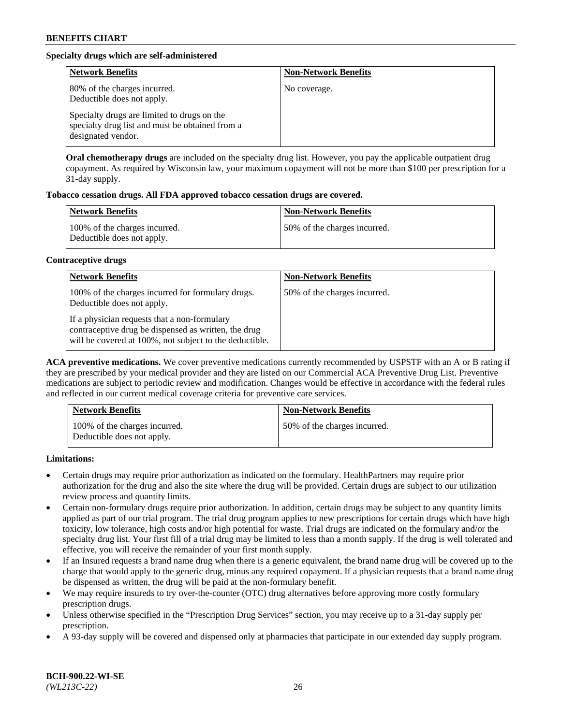# **Specialty drugs which are self-administered**

| <b>Network Benefits</b>                                                                                              | <b>Non-Network Benefits</b> |
|----------------------------------------------------------------------------------------------------------------------|-----------------------------|
| 80% of the charges incurred.<br>Deductible does not apply.                                                           | No coverage.                |
| Specialty drugs are limited to drugs on the<br>specialty drug list and must be obtained from a<br>designated vendor. |                             |

**Oral chemotherapy drugs** are included on the specialty drug list. However, you pay the applicable outpatient drug copayment. As required by Wisconsin law, your maximum copayment will not be more than \$100 per prescription for a 31-day supply.

## **Tobacco cessation drugs. All FDA approved tobacco cessation drugs are covered.**

| <b>Network Benefits</b>                                     | <b>Non-Network Benefits</b>  |
|-------------------------------------------------------------|------------------------------|
| 100% of the charges incurred.<br>Deductible does not apply. | 50% of the charges incurred. |

#### **Contraceptive drugs**

| <b>Network Benefits</b>                                                                                                                                         | <b>Non-Network Benefits</b>  |
|-----------------------------------------------------------------------------------------------------------------------------------------------------------------|------------------------------|
| 100% of the charges incurred for formulary drugs.<br>Deductible does not apply.                                                                                 | 50% of the charges incurred. |
| If a physician requests that a non-formulary<br>contraceptive drug be dispensed as written, the drug<br>will be covered at 100%, not subject to the deductible. |                              |

**ACA preventive medications.** We cover preventive medications currently recommended by USPSTF with an A or B rating if they are prescribed by your medical provider and they are listed on our Commercial ACA Preventive Drug List. Preventive medications are subject to periodic review and modification. Changes would be effective in accordance with the federal rules and reflected in our current medical coverage criteria for preventive care services.

| <b>Network Benefits</b>                                     | <b>Non-Network Benefits</b>  |
|-------------------------------------------------------------|------------------------------|
| 100% of the charges incurred.<br>Deductible does not apply. | 50% of the charges incurred. |

**Limitations:**

- Certain drugs may require prior authorization as indicated on the formulary. HealthPartners may require prior authorization for the drug and also the site where the drug will be provided. Certain drugs are subject to our utilization review process and quantity limits.
- Certain non-formulary drugs require prior authorization. In addition, certain drugs may be subject to any quantity limits applied as part of our trial program. The trial drug program applies to new prescriptions for certain drugs which have high toxicity, low tolerance, high costs and/or high potential for waste. Trial drugs are indicated on the formulary and/or the specialty drug list. Your first fill of a trial drug may be limited to less than a month supply. If the drug is well tolerated and effective, you will receive the remainder of your first month supply.
- If an Insured requests a brand name drug when there is a generic equivalent, the brand name drug will be covered up to the charge that would apply to the generic drug, minus any required copayment. If a physician requests that a brand name drug be dispensed as written, the drug will be paid at the non-formulary benefit.
- We may require insureds to try over-the-counter (OTC) drug alternatives before approving more costly formulary prescription drugs.
- Unless otherwise specified in the "Prescription Drug Services" section, you may receive up to a 31-day supply per prescription.
- A 93-day supply will be covered and dispensed only at pharmacies that participate in our extended day supply program.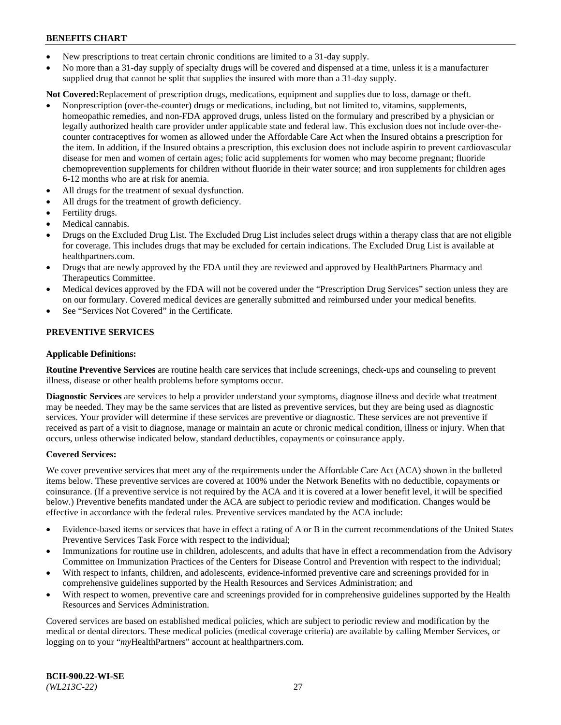- New prescriptions to treat certain chronic conditions are limited to a 31-day supply.
- No more than a 31-day supply of specialty drugs will be covered and dispensed at a time, unless it is a manufacturer supplied drug that cannot be split that supplies the insured with more than a 31-day supply.

**Not Covered:**Replacement of prescription drugs, medications, equipment and supplies due to loss, damage or theft.

- Nonprescription (over-the-counter) drugs or medications, including, but not limited to, vitamins, supplements, homeopathic remedies, and non-FDA approved drugs, unless listed on the formulary and prescribed by a physician or legally authorized health care provider under applicable state and federal law. This exclusion does not include over-thecounter contraceptives for women as allowed under the Affordable Care Act when the Insured obtains a prescription for the item. In addition, if the Insured obtains a prescription, this exclusion does not include aspirin to prevent cardiovascular disease for men and women of certain ages; folic acid supplements for women who may become pregnant; fluoride chemoprevention supplements for children without fluoride in their water source; and iron supplements for children ages 6-12 months who are at risk for anemia.
- All drugs for the treatment of sexual dysfunction.
- All drugs for the treatment of growth deficiency.
- Fertility drugs.
- Medical cannabis.
- Drugs on the Excluded Drug List. The Excluded Drug List includes select drugs within a therapy class that are not eligible for coverage. This includes drugs that may be excluded for certain indications. The Excluded Drug List is available at [healthpartners.com.](http://www.healthpartners.com/)
- Drugs that are newly approved by the FDA until they are reviewed and approved by HealthPartners Pharmacy and Therapeutics Committee.
- Medical devices approved by the FDA will not be covered under the "Prescription Drug Services" section unless they are on our formulary. Covered medical devices are generally submitted and reimbursed under your medical benefits.
- See "Services Not Covered" in the Certificate.

## **PREVENTIVE SERVICES**

#### **Applicable Definitions:**

**Routine Preventive Services** are routine health care services that include screenings, check-ups and counseling to prevent illness, disease or other health problems before symptoms occur.

**Diagnostic Services** are services to help a provider understand your symptoms, diagnose illness and decide what treatment may be needed. They may be the same services that are listed as preventive services, but they are being used as diagnostic services. Your provider will determine if these services are preventive or diagnostic. These services are not preventive if received as part of a visit to diagnose, manage or maintain an acute or chronic medical condition, illness or injury. When that occurs, unless otherwise indicated below, standard deductibles, copayments or coinsurance apply.

#### **Covered Services:**

We cover preventive services that meet any of the requirements under the Affordable Care Act (ACA) shown in the bulleted items below. These preventive services are covered at 100% under the Network Benefits with no deductible, copayments or coinsurance. (If a preventive service is not required by the ACA and it is covered at a lower benefit level, it will be specified below.) Preventive benefits mandated under the ACA are subject to periodic review and modification. Changes would be effective in accordance with the federal rules. Preventive services mandated by the ACA include:

- Evidence-based items or services that have in effect a rating of A or B in the current recommendations of the United States Preventive Services Task Force with respect to the individual;
- Immunizations for routine use in children, adolescents, and adults that have in effect a recommendation from the Advisory Committee on Immunization Practices of the Centers for Disease Control and Prevention with respect to the individual;
- With respect to infants, children, and adolescents, evidence-informed preventive care and screenings provided for in comprehensive guidelines supported by the Health Resources and Services Administration; and
- With respect to women, preventive care and screenings provided for in comprehensive guidelines supported by the Health Resources and Services Administration.

Covered services are based on established medical policies, which are subject to periodic review and modification by the medical or dental directors. These medical policies (medical coverage criteria) are available by calling Member Services, or logging on to your "*my*HealthPartners" account at [healthpartners.com.](https://www.healthpartners.com/hp/index.html)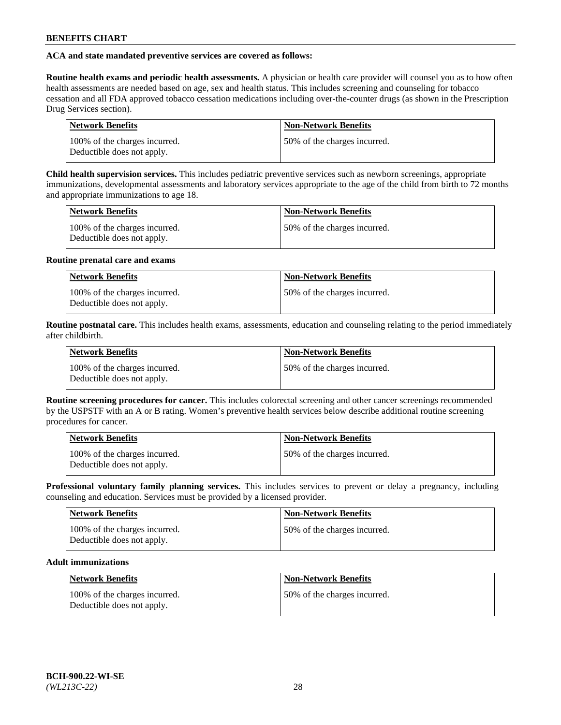## **ACA and state mandated preventive services are covered as follows:**

**Routine health exams and periodic health assessments.** A physician or health care provider will counsel you as to how often health assessments are needed based on age, sex and health status. This includes screening and counseling for tobacco cessation and all FDA approved tobacco cessation medications including over-the-counter drugs (as shown in the Prescription Drug Services section).

| <b>Network Benefits</b>                                     | <b>Non-Network Benefits</b>   |
|-------------------------------------------------------------|-------------------------------|
| 100% of the charges incurred.<br>Deductible does not apply. | 150% of the charges incurred. |

**Child health supervision services.** This includes pediatric preventive services such as newborn screenings, appropriate immunizations, developmental assessments and laboratory services appropriate to the age of the child from birth to 72 months and appropriate immunizations to age 18.

| <b>Network Benefits</b>                                     | <b>Non-Network Benefits</b>  |
|-------------------------------------------------------------|------------------------------|
| 100% of the charges incurred.<br>Deductible does not apply. | 50% of the charges incurred. |

#### **Routine prenatal care and exams**

| Network Benefits                                            | <b>Non-Network Benefits</b>   |
|-------------------------------------------------------------|-------------------------------|
| 100% of the charges incurred.<br>Deductible does not apply. | 150% of the charges incurred. |

**Routine postnatal care.** This includes health exams, assessments, education and counseling relating to the period immediately after childbirth.

| <b>Network Benefits</b>                                     | <b>Non-Network Benefits</b>  |
|-------------------------------------------------------------|------------------------------|
| 100% of the charges incurred.<br>Deductible does not apply. | 50% of the charges incurred. |

**Routine screening procedures for cancer.** This includes colorectal screening and other cancer screenings recommended by the USPSTF with an A or B rating. Women's preventive health services below describe additional routine screening procedures for cancer.

| <b>Network Benefits</b>                                     | <b>Non-Network Benefits</b>   |
|-------------------------------------------------------------|-------------------------------|
| 100% of the charges incurred.<br>Deductible does not apply. | 150% of the charges incurred. |

**Professional voluntary family planning services.** This includes services to prevent or delay a pregnancy, including counseling and education. Services must be provided by a licensed provider.

| <b>Network Benefits</b>                                     | <b>Non-Network Benefits</b>  |
|-------------------------------------------------------------|------------------------------|
| 100% of the charges incurred.<br>Deductible does not apply. | 50% of the charges incurred. |

## **Adult immunizations**

| Network Benefits                                            | <b>Non-Network Benefits</b>  |
|-------------------------------------------------------------|------------------------------|
| 100% of the charges incurred.<br>Deductible does not apply. | 50% of the charges incurred. |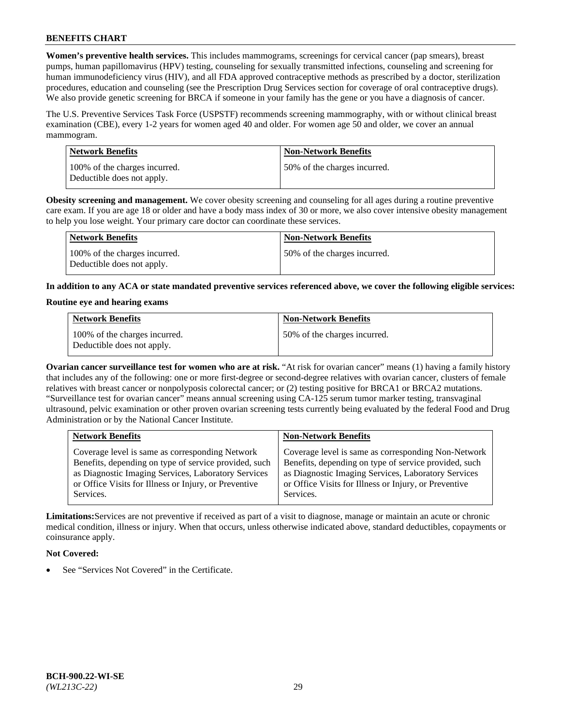**Women's preventive health services.** This includes mammograms, screenings for cervical cancer (pap smears), breast pumps, human papillomavirus (HPV) testing, counseling for sexually transmitted infections, counseling and screening for human immunodeficiency virus (HIV), and all FDA approved contraceptive methods as prescribed by a doctor, sterilization procedures, education and counseling (see the Prescription Drug Services section for coverage of oral contraceptive drugs). We also provide genetic screening for BRCA if someone in your family has the gene or you have a diagnosis of cancer.

The U.S. Preventive Services Task Force (USPSTF) recommends screening mammography, with or without clinical breast examination (CBE), every 1-2 years for women aged 40 and older. For women age 50 and older, we cover an annual mammogram.

| <b>Network Benefits</b>                                     | <b>Non-Network Benefits</b>  |
|-------------------------------------------------------------|------------------------------|
| 100% of the charges incurred.<br>Deductible does not apply. | 50% of the charges incurred. |

**Obesity screening and management.** We cover obesity screening and counseling for all ages during a routine preventive care exam. If you are age 18 or older and have a body mass index of 30 or more, we also cover intensive obesity management to help you lose weight. Your primary care doctor can coordinate these services.

| Network Benefits                                            | <b>Non-Network Benefits</b>  |
|-------------------------------------------------------------|------------------------------|
| 100% of the charges incurred.<br>Deductible does not apply. | 50% of the charges incurred. |

**In addition to any ACA or state mandated preventive services referenced above, we cover the following eligible services:**

#### **Routine eye and hearing exams**

| <b>Network Benefits</b>                                     | <b>Non-Network Benefits</b>  |
|-------------------------------------------------------------|------------------------------|
| 100% of the charges incurred.<br>Deductible does not apply. | 50% of the charges incurred. |

**Ovarian cancer surveillance test for women who are at risk.** "At risk for ovarian cancer" means (1) having a family history that includes any of the following: one or more first-degree or second-degree relatives with ovarian cancer, clusters of female relatives with breast cancer or nonpolyposis colorectal cancer; or (2) testing positive for BRCA1 or BRCA2 mutations. "Surveillance test for ovarian cancer" means annual screening using CA-125 serum tumor marker testing, transvaginal ultrasound, pelvic examination or other proven ovarian screening tests currently being evaluated by the federal Food and Drug Administration or by the National Cancer Institute.

| <b>Network Benefits</b>                               | <b>Non-Network Benefits</b>                           |
|-------------------------------------------------------|-------------------------------------------------------|
| Coverage level is same as corresponding Network       | Coverage level is same as corresponding Non-Network   |
| Benefits, depending on type of service provided, such | Benefits, depending on type of service provided, such |
| as Diagnostic Imaging Services, Laboratory Services   | as Diagnostic Imaging Services, Laboratory Services   |
| or Office Visits for Illness or Injury, or Preventive | or Office Visits for Illness or Injury, or Preventive |
| Services.                                             | Services.                                             |

**Limitations:**Services are not preventive if received as part of a visit to diagnose, manage or maintain an acute or chronic medical condition, illness or injury. When that occurs, unless otherwise indicated above, standard deductibles, copayments or coinsurance apply.

## **Not Covered:**

See "Services Not Covered" in the Certificate.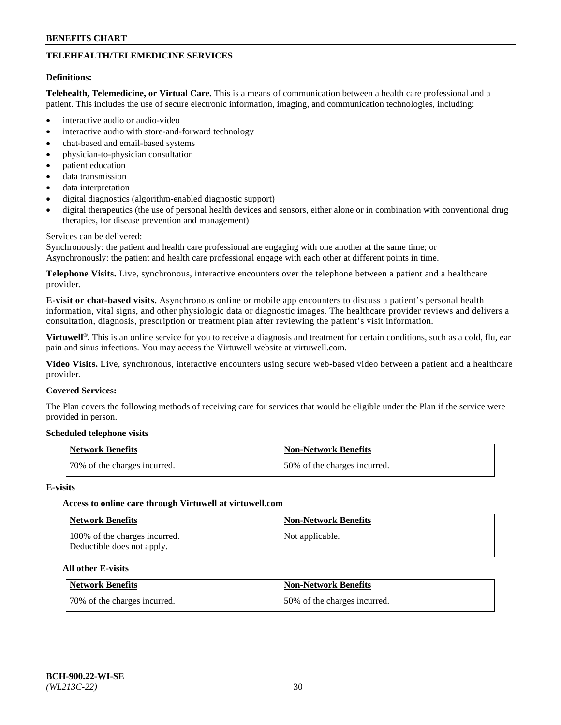# **TELEHEALTH/TELEMEDICINE SERVICES**

#### **Definitions:**

**Telehealth, Telemedicine, or Virtual Care.** This is a means of communication between a health care professional and a patient. This includes the use of secure electronic information, imaging, and communication technologies, including:

- interactive audio or audio-video
- interactive audio with store-and-forward technology
- chat-based and email-based systems
- physician-to-physician consultation
- patient education
- data transmission
- data interpretation
- digital diagnostics (algorithm-enabled diagnostic support)
- digital therapeutics (the use of personal health devices and sensors, either alone or in combination with conventional drug therapies, for disease prevention and management)

#### Services can be delivered:

Synchronously: the patient and health care professional are engaging with one another at the same time; or Asynchronously: the patient and health care professional engage with each other at different points in time.

**Telephone Visits.** Live, synchronous, interactive encounters over the telephone between a patient and a healthcare provider.

**E-visit or chat-based visits.** Asynchronous online or mobile app encounters to discuss a patient's personal health information, vital signs, and other physiologic data or diagnostic images. The healthcare provider reviews and delivers a consultation, diagnosis, prescription or treatment plan after reviewing the patient's visit information.

**Virtuwell®.** This is an online service for you to receive a diagnosis and treatment for certain conditions, such as a cold, flu, ear pain and sinus infections. You may access the Virtuwell website at [virtuwell.com.](https://www.virtuwell.com/)

**Video Visits.** Live, synchronous, interactive encounters using secure web-based video between a patient and a healthcare provider.

#### **Covered Services:**

The Plan covers the following methods of receiving care for services that would be eligible under the Plan if the service were provided in person.

#### **Scheduled telephone visits**

| Network Benefits             | Non-Network Benefits         |
|------------------------------|------------------------------|
| 70% of the charges incurred. | 50% of the charges incurred. |

#### **E-visits**

## **Access to online care through Virtuwell at [virtuwell.com](https://www.virtuwell.com/)**

| <b>Network Benefits</b>                                     | <b>Non-Network Benefits</b> |
|-------------------------------------------------------------|-----------------------------|
| 100% of the charges incurred.<br>Deductible does not apply. | Not applicable.             |

## **All other E-visits**

| Network Benefits             | <b>Non-Network Benefits</b>  |
|------------------------------|------------------------------|
| 70% of the charges incurred. | 50% of the charges incurred. |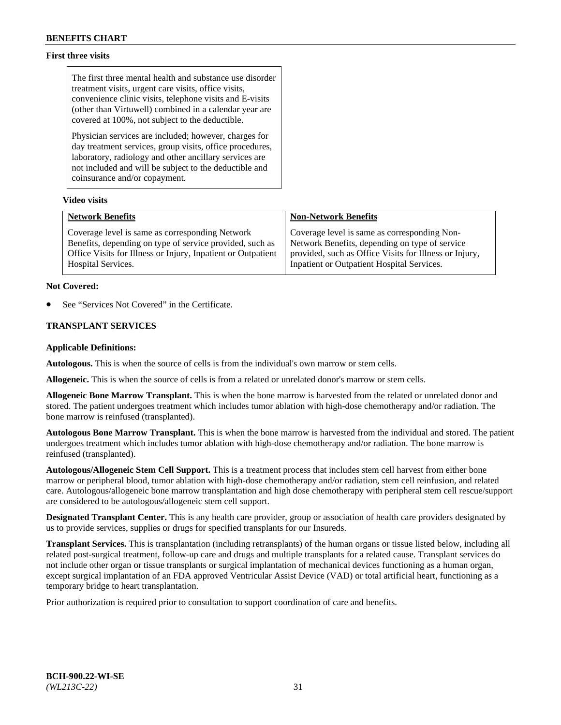## **First three visits**

The first three mental health and substance use disorder treatment visits, urgent care visits, office visits, convenience clinic visits, telephone visits and E-visits (other than Virtuwell) combined in a calendar year are covered at 100%, not subject to the deductible.

Physician services are included; however, charges for day treatment services, group visits, office procedures, laboratory, radiology and other ancillary services are not included and will be subject to the deductible and coinsurance and/or copayment.

## **Video visits**

| <b>Network Benefits</b>                                      | <b>Non-Network Benefits</b>                            |
|--------------------------------------------------------------|--------------------------------------------------------|
| Coverage level is same as corresponding Network              | Coverage level is same as corresponding Non-           |
| Benefits, depending on type of service provided, such as     | Network Benefits, depending on type of service         |
| Office Visits for Illness or Injury, Inpatient or Outpatient | provided, such as Office Visits for Illness or Injury, |
| Hospital Services.                                           | Inpatient or Outpatient Hospital Services.             |

#### **Not Covered:**

See "Services Not Covered" in the Certificate.

## **TRANSPLANT SERVICES**

#### **Applicable Definitions:**

**Autologous.** This is when the source of cells is from the individual's own marrow or stem cells.

**Allogeneic.** This is when the source of cells is from a related or unrelated donor's marrow or stem cells.

**Allogeneic Bone Marrow Transplant.** This is when the bone marrow is harvested from the related or unrelated donor and stored. The patient undergoes treatment which includes tumor ablation with high-dose chemotherapy and/or radiation. The bone marrow is reinfused (transplanted).

**Autologous Bone Marrow Transplant.** This is when the bone marrow is harvested from the individual and stored. The patient undergoes treatment which includes tumor ablation with high-dose chemotherapy and/or radiation. The bone marrow is reinfused (transplanted).

**Autologous/Allogeneic Stem Cell Support.** This is a treatment process that includes stem cell harvest from either bone marrow or peripheral blood, tumor ablation with high-dose chemotherapy and/or radiation, stem cell reinfusion, and related care. Autologous/allogeneic bone marrow transplantation and high dose chemotherapy with peripheral stem cell rescue/support are considered to be autologous/allogeneic stem cell support.

**Designated Transplant Center.** This is any health care provider, group or association of health care providers designated by us to provide services, supplies or drugs for specified transplants for our Insureds.

**Transplant Services.** This is transplantation (including retransplants) of the human organs or tissue listed below, including all related post-surgical treatment, follow-up care and drugs and multiple transplants for a related cause. Transplant services do not include other organ or tissue transplants or surgical implantation of mechanical devices functioning as a human organ, except surgical implantation of an FDA approved Ventricular Assist Device (VAD) or total artificial heart, functioning as a temporary bridge to heart transplantation.

Prior authorization is required prior to consultation to support coordination of care and benefits.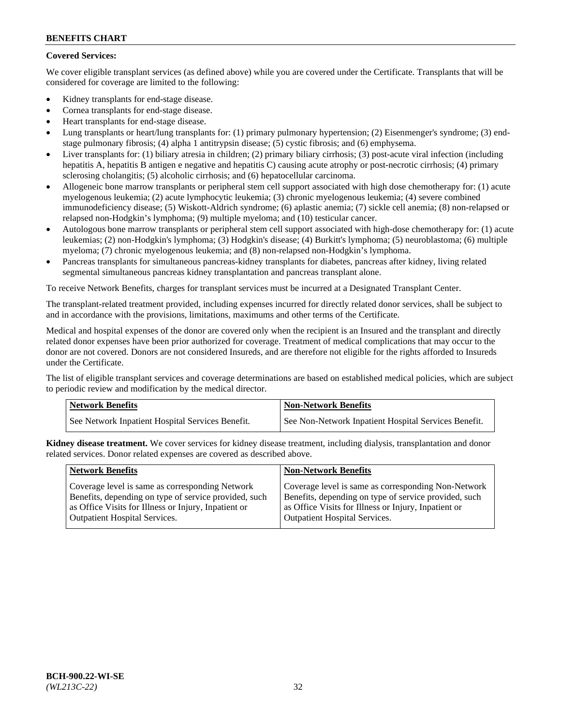## **Covered Services:**

We cover eligible transplant services (as defined above) while you are covered under the Certificate. Transplants that will be considered for coverage are limited to the following:

- Kidney transplants for end-stage disease.
- Cornea transplants for end-stage disease.
- Heart transplants for end-stage disease.
- Lung transplants or heart/lung transplants for: (1) primary pulmonary hypertension; (2) Eisenmenger's syndrome; (3) endstage pulmonary fibrosis; (4) alpha 1 antitrypsin disease; (5) cystic fibrosis; and (6) emphysema.
- Liver transplants for: (1) biliary atresia in children; (2) primary biliary cirrhosis; (3) post-acute viral infection (including hepatitis A, hepatitis B antigen e negative and hepatitis C) causing acute atrophy or post-necrotic cirrhosis; (4) primary sclerosing cholangitis; (5) alcoholic cirrhosis; and (6) hepatocellular carcinoma.
- Allogeneic bone marrow transplants or peripheral stem cell support associated with high dose chemotherapy for: (1) acute myelogenous leukemia; (2) acute lymphocytic leukemia; (3) chronic myelogenous leukemia; (4) severe combined immunodeficiency disease; (5) Wiskott-Aldrich syndrome; (6) aplastic anemia; (7) sickle cell anemia; (8) non-relapsed or relapsed non-Hodgkin's lymphoma; (9) multiple myeloma; and (10) testicular cancer.
- Autologous bone marrow transplants or peripheral stem cell support associated with high-dose chemotherapy for: (1) acute leukemias; (2) non-Hodgkin's lymphoma; (3) Hodgkin's disease; (4) Burkitt's lymphoma; (5) neuroblastoma; (6) multiple myeloma; (7) chronic myelogenous leukemia; and (8) non-relapsed non-Hodgkin's lymphoma.
- Pancreas transplants for simultaneous pancreas-kidney transplants for diabetes, pancreas after kidney, living related segmental simultaneous pancreas kidney transplantation and pancreas transplant alone.

To receive Network Benefits, charges for transplant services must be incurred at a Designated Transplant Center.

The transplant-related treatment provided, including expenses incurred for directly related donor services, shall be subject to and in accordance with the provisions, limitations, maximums and other terms of the Certificate.

Medical and hospital expenses of the donor are covered only when the recipient is an Insured and the transplant and directly related donor expenses have been prior authorized for coverage. Treatment of medical complications that may occur to the donor are not covered. Donors are not considered Insureds, and are therefore not eligible for the rights afforded to Insureds under the Certificate.

The list of eligible transplant services and coverage determinations are based on established medical policies, which are subject to periodic review and modification by the medical director.

| <b>Network Benefits</b>                          | <b>Non-Network Benefits</b>                          |
|--------------------------------------------------|------------------------------------------------------|
| See Network Inpatient Hospital Services Benefit. | See Non-Network Inpatient Hospital Services Benefit. |

**Kidney disease treatment.** We cover services for kidney disease treatment, including dialysis, transplantation and donor related services. Donor related expenses are covered as described above.

| <b>Network Benefits</b>                               | <b>Non-Network Benefits</b>                           |
|-------------------------------------------------------|-------------------------------------------------------|
| Coverage level is same as corresponding Network       | Coverage level is same as corresponding Non-Network   |
| Benefits, depending on type of service provided, such | Benefits, depending on type of service provided, such |
| as Office Visits for Illness or Injury, Inpatient or  | as Office Visits for Illness or Injury, Inpatient or  |
| <b>Outpatient Hospital Services.</b>                  | <b>Outpatient Hospital Services.</b>                  |